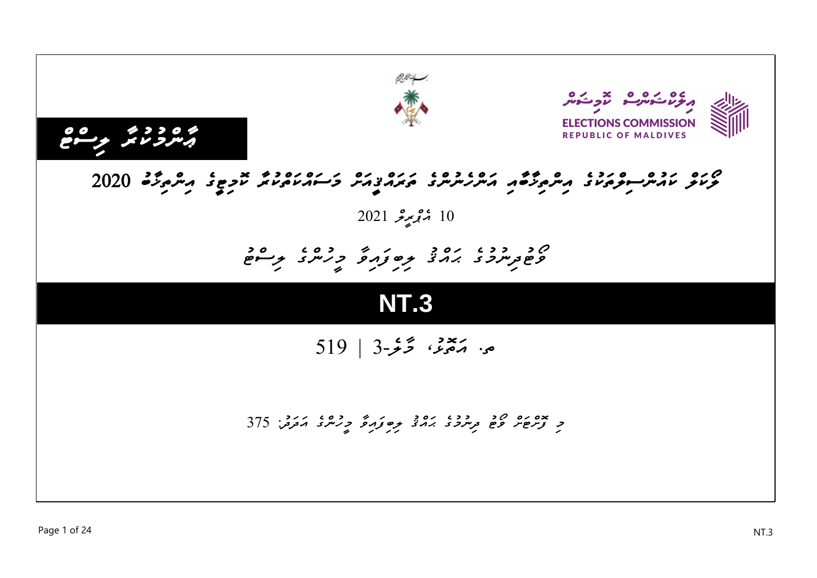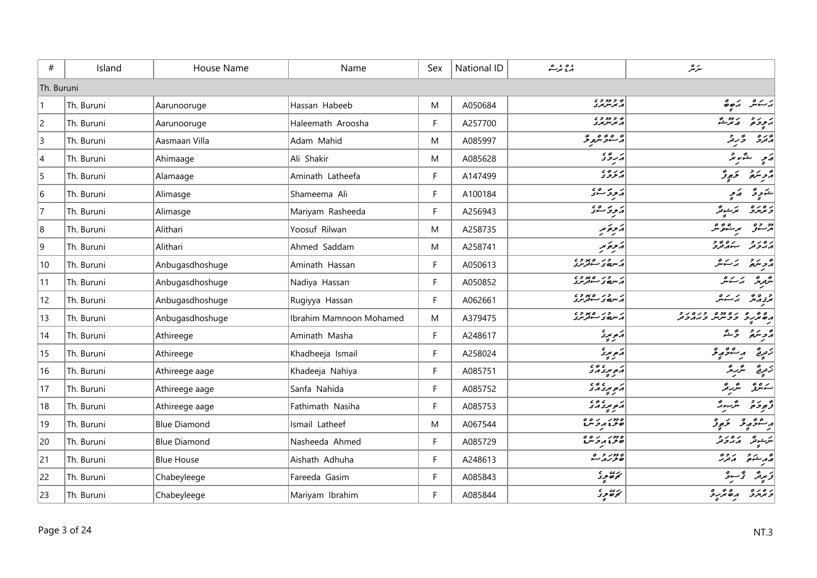| #               | Island     | House Name          | Name                    | Sex         | <b>National ID</b> | ، ه ، بر <u>م</u>                   | يترمثر                                        |
|-----------------|------------|---------------------|-------------------------|-------------|--------------------|-------------------------------------|-----------------------------------------------|
| Th. Buruni      |            |                     |                         |             |                    |                                     |                                               |
| 1               | Th. Buruni | Aarunooruge         | Hassan Habeeb           | M           | A050684            | بر و دو و ،<br>در سرسری             | $rac{1}{2}$                                   |
| $\overline{2}$  | Th. Buruni | Aarunooruge         | Haleemath Aroosha       | F           | A257700            | ه و دو و ،<br>د مرس مرد             |                                               |
| 3               | Th. Buruni | Aasmaan Villa       | Adam Mahid              | M           | A085997            | ۇ سىۋىترو ئۇ                        | وره وگرد                                      |
| 4               | Th. Buruni | Ahimaage            | Ali Shakir              | M           | A085628            | ەرچ                                 | ړې شرېر                                       |
| 5               | Th. Buruni | Alamaage            | Aminath Latheefa        | F           | A147499            | پر پر پر پر                         | أأروسه<br>خَ بِمَحْ وَ تَحْ                   |
| $6\overline{6}$ | Th. Buruni | Alimasge            | Shameema Ali            | F           | A100184            | لأمرخ سفو                           | لمكوفي أكوام                                  |
| $\overline{7}$  | Th. Buruni | Alimasge            | Mariyam Rasheeda        | F           | A256943            | ړ پر ده په                          | رەرە ئەجەنگە                                  |
| $\overline{8}$  | Th. Buruni | Alithari            | Yoosuf Rilwan           | ${\sf M}$   | A258735            | وكمعرضو                             | دو وه<br>ترسونو برشو <i>نو</i> شر             |
| $ 9\rangle$     | Th. Buruni | Alithari            | Ahmed Saddam            | M           | A258741            | وكمعرضو                             | رەر دەردە<br>مەرومىي سىمەترى                  |
| 10              | Th. Buruni | Anbugasdhoshuge     | Aminath Hassan          | F           | A050613            | ر<br>پرسرچي ڪوتر پر د               | ۇ ئەسكە ئەسكەنلە                              |
| 11              | Th. Buruni | Anbugasdhoshuge     | Nadiya Hassan           | F           | A050852            | ر سرچ ر ه پو د پ<br>پرسرچي سنگورمري | لترفرنش الكاسكانس                             |
| 12              | Th. Buruni | Anbugasdhoshuge     | Rugiyya Hassan          | E           | A062661            | بر سرچ ر صور و د<br>بر سرچ که سورس  | ىر تەرەپ كەسكەنلەر                            |
| $ 13\rangle$    | Th. Buruni | Anbugasdhoshuge     | Ibrahim Mamnoon Mohamed | M           | A379475            | ر سرچ ر ه پو د پ<br>پرسرچي سستوسري  |                                               |
| 14              | Th. Buruni | Athireege           | Aminath Masha           | $\mathsf F$ | A248617            | ر<br>د حومور                        | أأدم المحمد أوالمحمد                          |
| 15              | Th. Buruni | Athireege           | Khadheeja Ismail        | $\mathsf F$ | A258024            | ړ<br>مرموسو                         | زَمرِيحَ پر عرض و<br>و                        |
| 16              | Th. Buruni | Athireege aage      | Khadeeja Nahiya         | F           | A085751            | ر<br>مړيو مرد مر                    | رَ ورِجٌ<br>رَ ورِجٌ<br>متزرىژ                |
| 17              | Th. Buruni | Athireege aage      | Sanfa Nahida            | F           | A085752            | ر<br>د کام مرد د ک                  | سەھەر<br>سرگر تئر                             |
| 18              | Th. Buruni | Athireege aage      | Fathimath Nasiha        | F           | A085753            | <br>  پرېو پرې پرې                  | ۇ بور د<br>ىئرىبىدىر                          |
| 19              | Th. Buruni | <b>Blue Diamond</b> | Ismail Latheef          | M           | A067544            | ە «رىر ئەرە»                        | برحوم وتحيو                                   |
| 20              | Th. Buruni | <b>Blue Diamond</b> | Nasheeda Ahmed          | F           | A085729            | ە «رىر ئەرە                         | پرور و<br>ىكرىشى <sub>ۋ</sub> ىگە<br>ئە       |
| 21              | Th. Buruni | <b>Blue House</b>   | Aishath Adhuha          | F           | A248613            | ه دور و ه<br><i>ه مور</i> در        | و مرکز در در در در در بر<br>در مرکز مرکز مرکز |
| 22              | Th. Buruni | Chabeyleege         | Fareeda Gasim           | F           | A085843            | ری د ؟<br>کوه د د                   | ۇيرىگە گۇسۇ                                   |
| 23              | Th. Buruni | Chabeyleege         | Mariyam Ibrahim         | F           | A085844            | ري ء<br>کوھ پر د                    | במתכ תפתיכ                                    |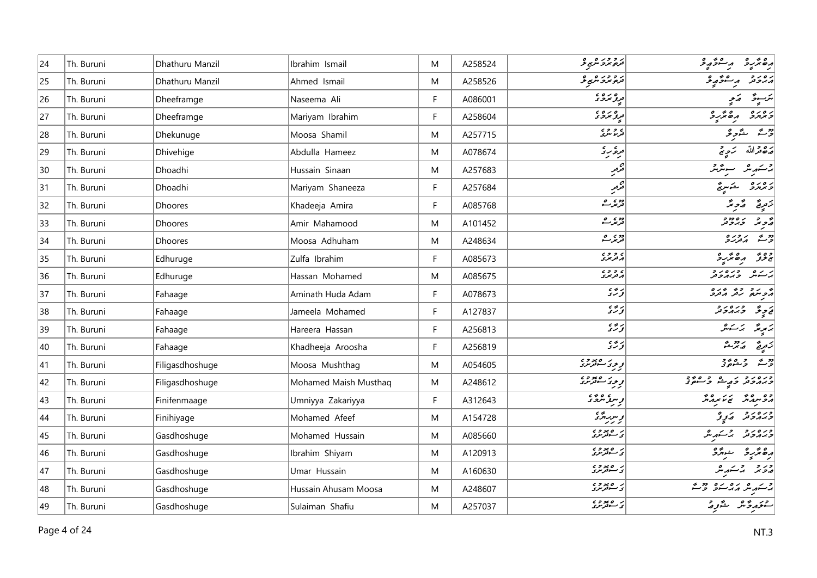| 24 | Th. Buruni | Dhathuru Manzil | Ibrahim Ismail        | ${\sf M}$ | A258524 | پرو ور ه پرو                         | رەيزىرە بەشتەر                                                                                                                                                                                                                                                                                                                     |
|----|------------|-----------------|-----------------------|-----------|---------|--------------------------------------|------------------------------------------------------------------------------------------------------------------------------------------------------------------------------------------------------------------------------------------------------------------------------------------------------------------------------------|
| 25 | Th. Buruni | Dhathuru Manzil | Ahmed Ismail          | ${\sf M}$ | A258526 | پر د بر بر هم پر                     |                                                                                                                                                                                                                                                                                                                                    |
| 26 | Th. Buruni | Dheeframge      | Naseema Ali           | F         | A086001 | موثو تره ء<br>  موثو ترو د           | لترسوق الأمج                                                                                                                                                                                                                                                                                                                       |
| 27 | Th. Buruni | Dheeframge      | Mariyam Ibrahim       | F         | A258604 | <br>  مرثر مرو ء                     | ر ه ر ه<br>و بربرو                                                                                                                                                                                                                                                                                                                 |
| 28 | Th. Buruni | Dhekunuge       | Moosa Shamil          | ${\sf M}$ | A257715 | ء و و ء<br>تور سری                   | لإثر شمار و                                                                                                                                                                                                                                                                                                                        |
| 29 | Th. Buruni | Dhivehige       | Abdulla Hameez        | M         | A078674 | ورځ رئ<br>گر                         | أرة قرالله كرج مح                                                                                                                                                                                                                                                                                                                  |
| 30 | Th. Buruni | Dhoadhi         | Hussain Sinaan        | ${\sf M}$ | A257683 | لقرمر                                | رحم میں منصوبے کی میں میں میں میں میں میں میں تھی کر ان کے ان کے ان کے ان کے ان کے ان کے میں ان کے ان کے ان کا<br>میں ان کے میں ان کے میں ان کے میں ان کے میں ان کے میں ان کے میں ان کے میں ان کے میں ان کے میں ان کے میں ان کے<br>                                                                                                |
| 31 | Th. Buruni | Dhoadhi         | Mariyam Shaneeza      | F         | A257684 | ە<br>مۇمر                            | دەرە خىرىئى                                                                                                                                                                                                                                                                                                                        |
| 32 | Th. Buruni | <b>Dhoores</b>  | Khadeeja Amira        | F         | A085768 | دد ،<br>تربر ک                       | تزمريح المراجر                                                                                                                                                                                                                                                                                                                     |
| 33 | Th. Buruni | Dhoores         | Amir Mahamood         | M         | A101452 | ود ۽ ه                               | وترمز<br>ر ه دد د<br>تربر تر تر                                                                                                                                                                                                                                                                                                    |
| 34 | Th. Buruni | <b>Dhoores</b>  | Moosa Adhuham         | M         | A248634 | ود ۽ ه                               | دوم پروره                                                                                                                                                                                                                                                                                                                          |
| 35 | Th. Buruni | Edhuruge        | Zulfa Ibrahim         | F         | A085673 | ے و و ے<br>پر تعریمی                 | ج در موسی د                                                                                                                                                                                                                                                                                                                        |
| 36 | Th. Buruni | Edhuruge        | Hassan Mohamed        | ${\sf M}$ | A085675 | ے و و ے<br>پر تعری                   | ير کيم دره دو                                                                                                                                                                                                                                                                                                                      |
| 37 | Th. Buruni | Fahaage         | Aminath Huda Adam     | F         | A078673 | ۇرچ                                  | أأدجر والمحافية والمحرورة                                                                                                                                                                                                                                                                                                          |
| 38 | Th. Buruni | Fahaage         | Jameela Mohamed       | F         | A127837 | ۇرچ                                  | در در در در<br>  درگر در در در                                                                                                                                                                                                                                                                                                     |
| 39 | Th. Buruni | Fahaage         | Hareera Hassan        | F         | A256813 | ر و ،<br>قرگری                       | ىرىپە ئەسەھ                                                                                                                                                                                                                                                                                                                        |
| 40 | Th. Buruni | Fahaage         | Khadheeja Aroosha     | F         | A256819 | ترجيح                                | أرَسِعٌ - مُرَسِّرٌ -                                                                                                                                                                                                                                                                                                              |
| 41 | Th. Buruni | Filigasdhoshuge | Moosa Mushthaq        | M         | A054605 | اړ پرې <u>صورت</u>                   | ود ده ده ود                                                                                                                                                                                                                                                                                                                        |
| 42 | Th. Buruni | Filigasdhoshuge | Mohamed Maish Musthaq | M         | A248612 | توجوي سوچوي<br>  توجوي سوچويرۍ       | ورەرو ريدى وەھوتى                                                                                                                                                                                                                                                                                                                  |
| 43 | Th. Buruni | Finifenmaage    | Umniyya Zakariyya     | F         | A312643 | وسرڈ عرمی                            | 20 00 11 000                                                                                                                                                                                                                                                                                                                       |
| 44 | Th. Buruni | Finihiyage      | Mohamed Afeef         | ${\sf M}$ | A154728 | و سربر پر پر<br>تر تر تر پر          | כנפני בני                                                                                                                                                                                                                                                                                                                          |
| 45 | Th. Buruni | Gasdhoshuge     | Mohamed Hussain       | ${\sf M}$ | A085660 | ر ره پر و ،<br>ی سسترمر <sub>ک</sub> | ورەرو ئەسكەش                                                                                                                                                                                                                                                                                                                       |
| 46 | Th. Buruni | Gasdhoshuge     | Ibrahim Shiyam        | ${\sf M}$ | A120913 | ر رہ پو و ،<br>کا سنگرمزی            | $\begin{array}{cc} 0 & 0 & 0 & 0 \\ 0 & 0 & \sqrt{2} & 0 \\ 0 & 0 & 0 & 0 \\ 0 & 0 & 0 & 0 \\ 0 & 0 & 0 & 0 \\ 0 & 0 & 0 & 0 \\ 0 & 0 & 0 & 0 \\ 0 & 0 & 0 & 0 \\ 0 & 0 & 0 & 0 \\ 0 & 0 & 0 & 0 \\ 0 & 0 & 0 & 0 \\ 0 & 0 & 0 & 0 & 0 \\ 0 & 0 & 0 & 0 & 0 \\ 0 & 0 & 0 & 0 & 0 \\ 0 & 0 & 0 & 0 & 0 \\ 0 & 0 & 0 & 0 & 0 \\ 0 &$ |
| 47 | Th. Buruni | Gasdhoshuge     | Umar Hussain          | ${\sf M}$ | A160630 | ر ۔ 2 پر و ۽<br>ي سنگرمزي            | ورو ويهده                                                                                                                                                                                                                                                                                                                          |
| 48 | Th. Buruni | Gasdhoshuge     | Hussain Ahusam Moosa  | M         | A248607 | ر ۔ صوبے<br>ی سستمبروی               | و د ه ره ده ده « و                                                                                                                                                                                                                                                                                                                 |
| 49 | Th. Buruni | Gasdhoshuge     | Sulaiman Shafiu       | ${\sf M}$ | A257037 | ر ۔ 2 پر و ۽<br>ي سستمبرس            | لتؤرخ شيرو                                                                                                                                                                                                                                                                                                                         |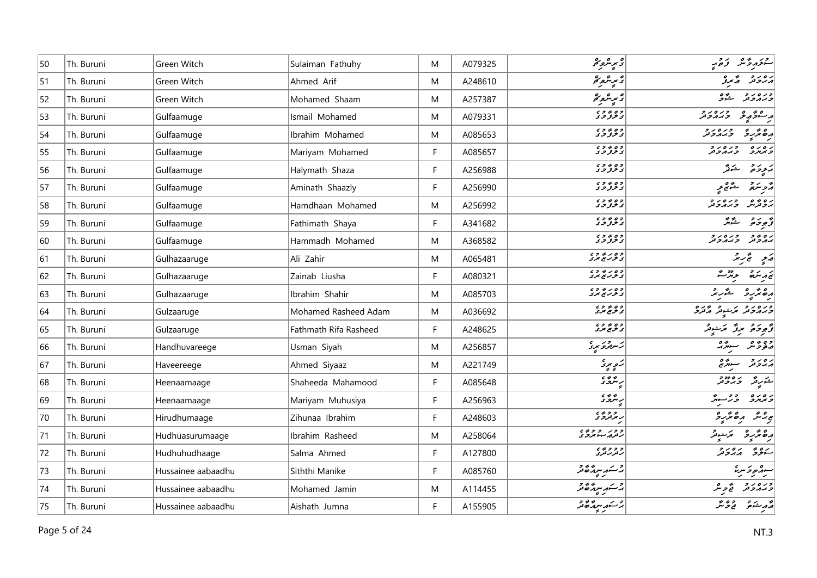| 50 | Th. Buruni | Green Witch        | Sulaiman Fathuhy      | M         | A079325 | د سر سر بر د د<br>  د                             | - موروش دور<br>- موروش دور<br>درور مرو      |
|----|------------|--------------------|-----------------------|-----------|---------|---------------------------------------------------|---------------------------------------------|
| 51 | Th. Buruni | Green Witch        | Ahmed Arif            | ${\sf M}$ | A248610 | <sub>م</sub> حمد مسرور پر<br>  محمد سر مسر        |                                             |
| 52 | Th. Buruni | Green Witch        | Mohamed Shaam         | ${\sf M}$ | A257387 | ە بېرىئر <i>ولۇ</i>                               | ورەر دەر                                    |
| 53 | Th. Buruni | Gulfaamuge         | Ismail Mohamed        | M         | A079331 | وه و و ء<br>  د نوگر تر د                         | ر عرور وره در                               |
| 54 | Th. Buruni | Gulfaamuge         | Ibrahim Mohamed       | M         | A085653 | وه پوو ،<br>د تروگر د                             | وه عزيره ورود و                             |
| 55 | Th. Buruni | Gulfaamuge         | Mariyam Mohamed       | F         | A085657 | وه پو و ،<br>  <mark>ۍ نو</mark> ز و <sub>ک</sub> | ر ه ر ه<br>و بربرو<br>و ره ر د<br>تر پر ژمر |
| 56 | Th. Buruni | Gulfaamuge         | Halymath Shaza        | F         | A256988 | وه پوو ،<br>د تروگر د                             | برَجِرَةٌ حَدَثَرٌ                          |
| 57 | Th. Buruni | Gulfaamuge         | Aminath Shaazly       | F         | A256990 | و ه و و ء<br>د ترتر تر د                          |                                             |
| 58 | Th. Buruni | Gulfaamuge         | Hamdhaan Mohamed      | ${\sf M}$ | A256992 | وه پو و ،<br>د ترتر تر د                          | ره په دره رد<br>پروترس دبروتر               |
| 59 | Th. Buruni | Gulfaamuge         | Fathimath Shaya       | F         | A341682 | د ه و د د ،<br>د نروگرد د                         | أوجوحهم الشركر                              |
| 60 | Th. Buruni | Gulfaamuge         | Hammadh Mohamed       | M         | A368582 | د ه و و ،<br>د ترتو تر د                          | ره دو دره دو                                |
| 61 | Th. Buruni | Gulhazaaruge       | Ali Zahir             | ${\sf M}$ | A065481 | و ه ر په و ،<br>  د څرن پم پور                    |                                             |
| 62 | Th. Buruni | Gulhazaaruge       | Zainab Liusha         | F         | A080321 | و ہ ر پر و ،<br>ى محرم تعرى                       |                                             |
| 63 | Th. Buruni | Gulhazaaruge       | Ibrahim Shahir        | ${\sf M}$ | A085703 | و ه ر په و ،<br>  د څرن پم پور                    |                                             |
| 64 | Th. Buruni | Gulzaaruge         | Mohamed Rasheed Adam  | M         | A036692 | و ه پر و ء<br><sub>م</sub> حر پخ مر <sub>م</sub>  | ورەرو برجوتر مەترو                          |
| 65 | Th. Buruni | Gulzaaruge         | Fathmath Rifa Rasheed | F         | A248625 | و ه پر و ،<br>د نومځ مرد                          | قُرُوحَةً مِنْ مَنْ وِثْرِ                  |
| 66 | Th. Buruni | Handhuvareege      | Usman Siyah           | ${\sf M}$ | A256857 | ئەس <i>ىترى بى</i> رى                             | دوده سور                                    |
| 67 | Th. Buruni | Haveereege         | Ahmed Siyaaz          | M         | A221749 | ر<br>سره پېړۍ                                     | أرور والمسترجي                              |
| 68 | Th. Buruni | Heenaamaage        | Shaheeda Mahamood     | F         | A085648 | رېږي                                              | أشرير وبرود                                 |
| 69 | Th. Buruni | Heenaamaage        | Mariyam Muhusiya      | F         | A256963 | ر پژوي<br>په متر <del>د</del> د                   | دەرە دوسىر                                  |
| 70 | Th. Buruni | Hirudhumaage       | Zihunaa Ibrahim       | F         | A248603 | <br>  په پرترو <sub>ک</sub>                       | ە بەش مەھەرد                                |
| 71 | Th. Buruni | Hudhuasurumaage    | Ibrahim Rasheed       | ${\sf M}$ | A258064 |                                                   | رەنزىرى ئىشمىز                              |
| 72 | Th. Buruni | Hudhuhudhaage      | Salma Ahmed           | F         | A127800 | و و و و »<br>ر تور تور                            | $5.001$ $2.001$                             |
| 73 | Th. Buruni | Hussainee aabaadhu | Siththi Manike        | F         | A085760 | ا ئەسىم سە <i>م ھەتر</i>                          | سەھ <sub>و</sub> ئەسرىئا                    |
| 74 | Th. Buruni | Hussainee aabaadhu | Mohamed Jamin         | M         | A114455 |                                                   |                                             |
| 75 | Th. Buruni | Hussainee aabaadhu | Aishath Jumna         | F         | A155905 |                                                   | أمار منكور وه و                             |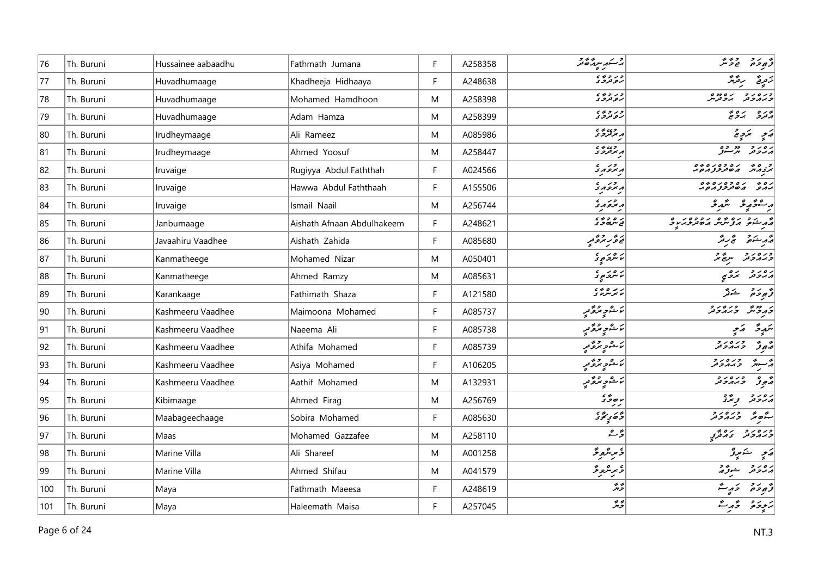| 76  | Th. Buruni | Hussainee aabaadhu | Fathmath Jumana            | F         | A258358 | ا د که په په ده و د ا                   | $\begin{pmatrix} 1 & 1 & 1 & 1 & 1 \\ 1 & 1 & 1 & 1 & 1 \\ 1 & 1 & 1 & 1 & 1 \\ 1 & 1 & 1 & 1 & 1 \\ 1 & 1 & 1 & 1 & 1 \\ 1 & 1 & 1 & 1 & 1 \\ 1 & 1 & 1 & 1 & 1 \\ 1 & 1 & 1 & 1 & 1 \\ 1 & 1 & 1 & 1 & 1 \\ 1 & 1 & 1 & 1 & 1 \\ 1 & 1 & 1 & 1 & 1 \\ 1 & 1 & 1 & 1 & 1 \\ 1 & 1 & 1 & 1 & 1 \\ 1 & 1 & 1 & 1 & 1 \\ 1 & $ |
|-----|------------|--------------------|----------------------------|-----------|---------|-----------------------------------------|------------------------------------------------------------------------------------------------------------------------------------------------------------------------------------------------------------------------------------------------------------------------------------------------------------------------------|
| 77  | Th. Buruni | Huvadhumaage       | Khadheeja Hidhaaya         | F         | A248638 | و ر و د ،<br>روىرو <sub>ى</sub>         | ر<br>توقع رقرم                                                                                                                                                                                                                                                                                                               |
| 78  | Th. Buruni | Huvadhumaage       | Mohamed Hamdhoon           | ${\sf M}$ | A258398 | و ر و د »<br>ر و ترتر <sub>ک</sub>      | כנסיו כי הסמס<br>כגורכת גכתית                                                                                                                                                                                                                                                                                                |
| 79  | Th. Buruni | Huvadhumaage       | Adam Hamza                 | M         | A258399 | و ر و » ،<br>ره ترو د                   | وره ره و                                                                                                                                                                                                                                                                                                                     |
| 80  | Th. Buruni | Irudheymaage       | Ali Rameez                 | M         | A085986 | <br>  مرمزدی                            | $\begin{array}{cc} \mathcal{E}_{\mathcal{P}} & \mathcal{E}_{\mathcal{P}} & \mathcal{E}_{\mathcal{P}} \\ \mathcal{E}_{\mathcal{P}} & \mathcal{E}_{\mathcal{P}} & \mathcal{E}_{\mathcal{P}} \end{array}$                                                                                                                       |
| 81  | Th. Buruni | Irudheymaage       | Ahmed Yoosuf               | M         | A258447 | و ده و د و<br>د مومور و                 | גם גם כפיפים<br>הגבת תיית                                                                                                                                                                                                                                                                                                    |
| 82  | Th. Buruni | Iruvaige           | Rugiyya Abdul Faththah     | F         | A024566 | رېڅوگړئ                                 | و وه ده دوه ده ده<br>بر <sub>ن</sub> گه ده مورد در م                                                                                                                                                                                                                                                                         |
| 83  | Th. Buruni | Iruvaige           | Hawwa Abdul Faththaah      | F         | A155506 | وبرء                                    | ره به ره وه ره بوه<br>برد به مصر و و در ج                                                                                                                                                                                                                                                                                    |
| 84  | Th. Buruni | Iruvaige           | Ismail Naail               | ${\sf M}$ | A256744 | ریزهٔ مربح                              | وڪوڻو سموو                                                                                                                                                                                                                                                                                                                   |
| 85  | Th. Buruni | Janbumaage         | Aishath Afnaan Abdulhakeem | F         | A248621 | ر ه د و و و<br>اقع مرگ د د              |                                                                                                                                                                                                                                                                                                                              |
| 86  | Th. Buruni | Javaahiru Vaadhee  | Aishath Zahida             | F         | A085680 | ئے قرىر ترقى مىر                        | وكرمشكم بمحرقه                                                                                                                                                                                                                                                                                                               |
| 87  | Th. Buruni | Kanmatheege        | Mohamed Nizar              | M         | A050401 | ئەنگە ئەمرى                             | ورەرو سەر                                                                                                                                                                                                                                                                                                                    |
| 88  | Th. Buruni | Kanmatheege        | Ahmed Ramzy                | ${\sf M}$ | A085631 | بروير                                   | د ۱۵ د ۱۵ د کلي                                                                                                                                                                                                                                                                                                              |
| 89  | Th. Buruni | Karankaage         | Fathimath Shaza            | F         | A121580 | پر ۵ پر ۽<br>  پائير ميرند <sub>ک</sub> | قُرِجُوحَةَ سُنَقَر                                                                                                                                                                                                                                                                                                          |
| 90  | Th. Buruni | Kashmeeru Vaadhee  | Maimoona Mohamed           | F         | A085737 | ئەشۋېرۇپر                               | - 1017 - 1717<br>- 1717 - 1717                                                                                                                                                                                                                                                                                               |
| 91  | Th. Buruni | Kashmeeru Vaadhee  | Naeema Ali                 | F         | A085738 | ئەشمە پەر ئەير                          | سَمِيرَ مَرِ<br>سَمِيرَ مَرَّمَ                                                                                                                                                                                                                                                                                              |
| 92  | Th. Buruni | Kashmeeru Vaadhee  | Athifa Mohamed             | F         | A085739 | <br>  يَا شَّهْ جِرْهُ مِي              |                                                                                                                                                                                                                                                                                                                              |
| 93  | Th. Buruni | Kashmeeru Vaadhee  | Asiya Mohamed              | F         | A106205 | <br>  يز شوچ بروګر                      | وره رو<br>د بر د بر<br>پژ سوچر                                                                                                                                                                                                                                                                                               |
| 94  | Th. Buruni | Kashmeeru Vaadhee  | Aathif Mohamed             | M         | A132931 | ر<br>رکشوچ بروګر                        | و رە ر د<br><i>د بە</i> پەر<br>ومجوفر                                                                                                                                                                                                                                                                                        |
| 95  | Th. Buruni | Kibimaage          | Ahmed Firag                | M         | A256769 | ده وی<br>مرحوک                          | أبرو وتروح                                                                                                                                                                                                                                                                                                                   |
| 96  | Th. Buruni | Maabageechaage     | Sobira Mohamed             | F         | A085630 | ږي ځې ده <sup>ه</sup>                   |                                                                                                                                                                                                                                                                                                                              |
| 97  | Th. Buruni | Maas               | Mohamed Gazzafee           | ${\sf M}$ | A258110 | ۇ م                                     | ورەرو رەۋر                                                                                                                                                                                                                                                                                                                   |
| 98  | Th. Buruni | Marine Villa       | Ali Shareef                | ${\sf M}$ | A001258 | ۇ بىر بىرى<br>مەسرىيە                   | ړې خوړ و                                                                                                                                                                                                                                                                                                                     |
| 99  | Th. Buruni | Marine Villa       | Ahmed Shifau               | ${\sf M}$ | A041579 | د<br>دىرىنروگر                          | رەرو خوتۇھ                                                                                                                                                                                                                                                                                                                   |
| 100 | Th. Buruni | Maya               | Fathmath Maeesa            | F         | A248619 | اءِ ج                                   | قرموخو خرميث                                                                                                                                                                                                                                                                                                                 |
| 101 | Th. Buruni | Maya               | Haleemath Maisa            | F         | A257045 | ويجر                                    | برودة وأرث                                                                                                                                                                                                                                                                                                                   |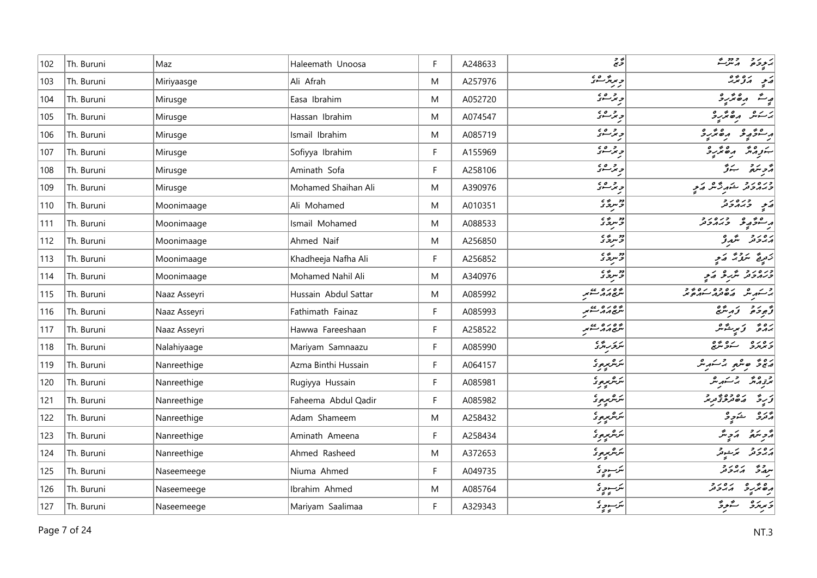| 102 | Th. Buruni | Maz          | Haleemath Unoosa     | F         | A248633 | ا پر ج<br>ا                       | $\frac{2\,m\,s}{2\,m\,s}$                                                                                                                                                                                                        |
|-----|------------|--------------|----------------------|-----------|---------|-----------------------------------|----------------------------------------------------------------------------------------------------------------------------------------------------------------------------------------------------------------------------------|
| 103 | Th. Buruni | Miriyaasge   | Ali Afrah            | M         | A257976 | حە بىر ب <sup>ىر م</sup> ىدى<br>س | أەيىس برە يۇر                                                                                                                                                                                                                    |
| 104 | Th. Buruni | Mirusge      | Easa Ibrahim         | ${\sf M}$ | A052720 | د بر شو ه                         |                                                                                                                                                                                                                                  |
| 105 | Th. Buruni | Mirusge      | Hassan Ibrahim       | M         | A074547 | د پر شو <sup>ه</sup>              | برسكش مەھەرد                                                                                                                                                                                                                     |
| 106 | Th. Buruni | Mirusge      | Ismail Ibrahim       | M         | A085719 | د پر شو <sup>ه</sup>              | دە ئەرچ<br>وستوقيعه                                                                                                                                                                                                              |
| 107 | Th. Buruni | Mirusge      | Sofiyya Ibrahim      | F         | A155969 | د پر شو ۽                         |                                                                                                                                                                                                                                  |
| 108 | Th. Buruni | Mirusge      | Aminath Sofa         | F         | A258106 | د پر شو په                        | ۇ بەر ئۇ                                                                                                                                                                                                                         |
| 109 | Th. Buruni | Mirusge      | Mohamed Shaihan Ali  | ${\sf M}$ | A390976 | ج ټر ص مح                         | ورەرو خىرشكى كو                                                                                                                                                                                                                  |
| 110 | Th. Buruni | Moonimaage   | Ali Mohamed          | ${\sf M}$ | A010351 | دو یو ۽                           | أمجمع وره رد                                                                                                                                                                                                                     |
| 111 | Th. Buruni | Moonimaage   | Ismail Mohamed       | M         | A088533 | دوسرچ ۽                           | وستوريو ورودو                                                                                                                                                                                                                    |
| 112 | Th. Buruni | Moonimaage   | Ahmed Naif           | M         | A256850 | وه سرچ ی<br> خ                    | برەر ئە ئىگەنى                                                                                                                                                                                                                   |
| 113 | Th. Buruni | Moonimaage   | Khadheeja Nafha Ali  | F         | A256852 | ود سرچ ی<br> -                    | ترميعً سَرُدْتًا صَعِي                                                                                                                                                                                                           |
| 114 | Th. Buruni | Moonimaage   | Mohamed Nahil Ali    | ${\sf M}$ | A340976 | وه سرچ پر<br>د سرچ <sub>ک</sub>   | ورەرو شرک كەنج                                                                                                                                                                                                                   |
| 115 | Th. Buruni | Naaz Asseyri | Hussain Abdul Sattar | ${\sf M}$ | A085992 | پره ره <u>،،</u><br>سرچ مرم شوبر  | 22010201022                                                                                                                                                                                                                      |
| 116 | Th. Buruni | Naaz Asseyri | Fathimath Fainaz     | F         | A085993 | پره بره ي <sub>ه ب</sub> ر        | قهوخو تهرشى                                                                                                                                                                                                                      |
| 117 | Th. Buruni | Naaz Asseyri | Hawwa Fareeshaan     | F         | A258522 | پره ره <u>،،</u><br>سرچ مرم شوبېر | پروژ کی پیشگر                                                                                                                                                                                                                    |
| 118 | Th. Buruni | Nalahiyaage  | Mariyam Samnaazu     | F         | A085990 | يؤكر پر مح                        | رەرە روش                                                                                                                                                                                                                         |
| 119 | Th. Buruni | Nanreethige  | Azma Binthi Hussain  | F         | A064157 | سر مرسر پر و                      | ړه د ځور برگرمر                                                                                                                                                                                                                  |
| 120 | Th. Buruni | Nanreethige  | Rugiyya Hussain      | F         | A085981 | ىئەمىر<br>مىرىئىرمو ئ             | ترتور پر محسکو میں شر                                                                                                                                                                                                            |
| 121 | Th. Buruni | Nanreethige  | Faheema Abdul Qadir  | F         | A085982 | ىئەتىرىدى<br>مەسرىيەر             | ر در در دوره در در کار در در کار در در کار در در این در این در این در این در این در این در این در این در این ا<br>در این در در این در این در این در این در این در این در این در این در این در این در این در این در این در این در |
| 122 | Th. Buruni | Nanreethige  | Adam Shameem         | ${\sf M}$ | A258432 | ىئەمىرىدى<br>مەسرىيە              | وره شوره                                                                                                                                                                                                                         |
| 123 | Th. Buruni | Nanreethige  | Aminath Ameena       | F         | A258434 | ىئەبىرىدى<br>ئ                    | أزويتم أأزويتر                                                                                                                                                                                                                   |
| 124 | Th. Buruni | Nanreethige  | Ahmed Rasheed        | M         | A372653 | ىئەمىر<br>مەنبەر                  | رەر ئەرخىر                                                                                                                                                                                                                       |
| 125 | Th. Buruni | Naseemeege   | Niuma Ahmed          | F         | A049735 | ىئەسىرى<br>ئىقتىق                 | 5,0,1,2,2                                                                                                                                                                                                                        |
| 126 | Th. Buruni | Naseemeege   | Ibrahim Ahmed        | M         | A085764 | ىكەسىرى<br>ئ                      | دە ئەر دەر د                                                                                                                                                                                                                     |
| 127 | Th. Buruni | Naseemeege   | Mariyam Saalimaa     | F         | A329343 | ىئەسىيە ئە<br>ئەس                 | أو براده كشورة                                                                                                                                                                                                                   |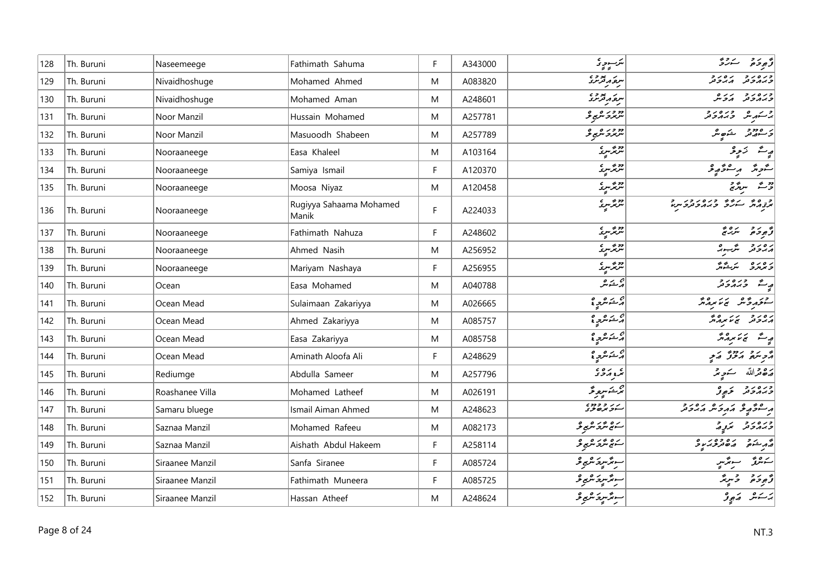| 128 | Th. Buruni | Naseemeege      | Fathimath Sahuma                 | F           | A343000 | ىئەسىرى<br>ئەس                                                | أوجوحه سنرفز                                   |
|-----|------------|-----------------|----------------------------------|-------------|---------|---------------------------------------------------------------|------------------------------------------------|
| 129 | Th. Buruni | Nivaidhoshuge   | Mohamed Ahmed                    | M           | A083820 | سرچر پیو و ۽<br>سرچ مرفتر سرچ                                 | وره ره ره رو<br><i>د ب</i> رونر کربرونر        |
| 130 | Th. Buruni | Nivaidhoshuge   | Mohamed Aman                     | M           | A248601 | سرکھ وقریری<br>سرکھ وقریری                                    | ورەرو رىرە                                     |
| 131 | Th. Buruni | Noor Manzil     | Hussain Mohamed                  | M           | A257781 | ەدىر بەر بولىرى ئى                                            | برسكه شرك وبروير                               |
| 132 | Th. Buruni | Noor Manzil     | Masuoodh Shabeen                 | M           | A257789 | ەدىر بەر بولىرى ئى                                            | ر ۶٫۰۵ شهره شر<br>تر سوړند شوه شر              |
| 133 | Th. Buruni | Nooraaneege     | Easa Khaleel                     | M           | A103164 | دو پر<br>سربگرسری                                             | ړت زږو                                         |
| 134 | Th. Buruni | Nooraaneege     | Samiya Ismail                    | F           | A120370 | دو په مورځ<br>سرچر س <sub>رچ</sub>                            | $\frac{1}{2}$<br>ستمريز                        |
| 135 | Th. Buruni | Nooraaneege     | Moosa Niyaz                      | M           | A120458 | دو پر<br>سربر سرپر                                            | $\frac{2}{3}$ $\frac{2}{3}$ $\frac{2}{3}$      |
| 136 | Th. Buruni | Nooraaneege     | Rugiyya Sahaama Mohamed<br>Manik | $\mathsf F$ | A224033 | چېچىسى<br>سرىئەسىي                                            | כ פי גיי כגורני כ                              |
| 137 | Th. Buruni | Nooraaneege     | Fathimath Nahuza                 | F           | A248602 | ترپژسر،                                                       | و المعجم المحمد المحمد المحمد المحمد المحمد بم |
| 138 | Th. Buruni | Nooraaneege     | Ahmed Nasih                      | M           | A256952 | دو پر په<br>سرپرسرچ                                           | رەر تەبىر                                      |
| 139 | Th. Buruni | Nooraaneege     | Mariyam Nashaya                  | F           | A256955 | دو پر<br>سربر سرپر                                            | رەرە سَرْشَۃَرَّ                               |
| 140 | Th. Buruni | Ocean           | Easa Mohamed                     | M           | A040788 | ج ئەيە بىر<br>م                                               | و ره ر و<br><i>د ب</i> رگرفر<br>صرمحته         |
| 141 | Th. Buruni | Ocean Mead      | Sulaimaan Zakariyya              | M           | A026665 | م<br>مشاهر په م                                               | جۇزەر ئەركىر                                   |
| 142 | Th. Buruni | Ocean Mead      | Ahmed Zakariyya                  | M           | A085757 | پر <u>شریع کی</u>                                             | גפנק גל את                                     |
| 143 | Th. Buruni | Ocean Mead      | Easa Zakariyya                   | M           | A085758 | پر شهر مرح ؟                                                  | أيرث بماسم ورمز                                |
| 144 | Th. Buruni | Ocean Mead      | Aminath Aloofa Ali               | F           | A248629 | كمشكر ويحي                                                    | أزويتم أردوق أيامي                             |
| 145 | Th. Buruni | Rediumge        | Abdulla Sameer                   | M           | A257796 | 55125                                                         | پره مرالله کوچمر                               |
| 146 | Th. Buruni | Roashanee Villa | Mohamed Latheef                  | M           | A026191 | ئۇيغۇرىيەتىر<br>                                              | ورەر دېږ                                       |
| 147 | Th. Buruni | Samaru bluege   | Ismail Aiman Ahmed               | M           | A248623 | ر ر د د ده د<br>سکونون مور                                    | ړ هغږي که ځمر که کرد د                         |
| 148 | Th. Buruni | Saznaa Manzil   | Mohamed Rafeeu                   | M           | A082173 | رىرە ئ <sup>ى</sup> ر ئىرىم ئى                                | وبرورو يزرٍ و                                  |
| 149 | Th. Buruni | Saznaa Manzil   | Aishath Abdul Hakeem             | F           | A258114 | سەن <sub>جە م</sub> ترى <i>ج مىلى بى</i>                      | د در در دره در در د                            |
| 150 | Th. Buruni | Siraanee Manzil | Sanfa Siranee                    | F           | A085724 | سە <i>بۇ يېرى</i> ئىرىمۇ                                      | سە ئىگە<br>سىدىگە بىر                          |
| 151 | Th. Buruni | Siraanee Manzil | Fathimath Muneera                | F           | A085725 | – ئەسىرىكە ئىلىنى قىلىپ قىلىپ قىل                             | ۇ بور د<br>د سرپر                              |
| 152 | Th. Buruni | Siraanee Manzil | Hassan Atheef                    | M           | A248624 | – ئەسىرىكە ئىلىمى قىلىپ قىلىپ<br>مەسىر ئىسىرىكىچى قىلىپ قىلىپ | برَسَد په پورې                                 |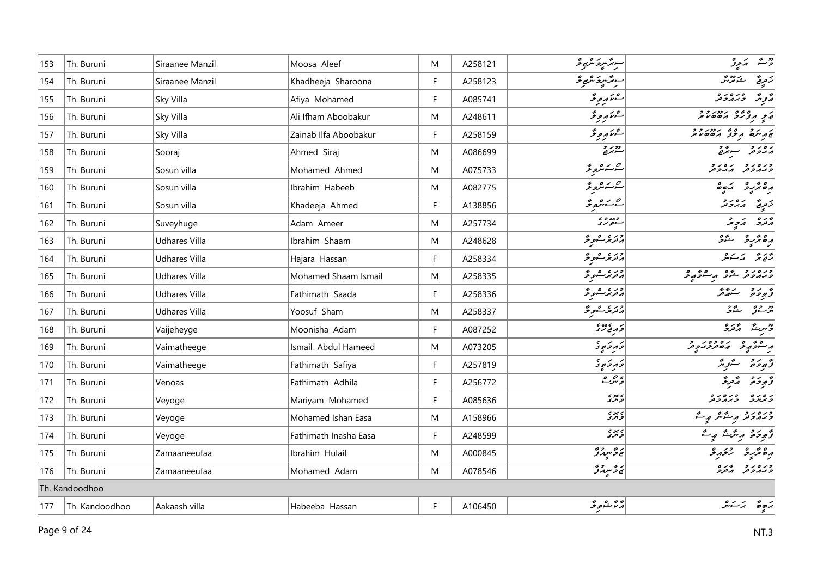| 153 | Th. Buruni     | Siraanee Manzil      | Moosa Aleef           | M | A258121 | سەئىبىدە مىنى قى                             | ژے پر دیور                        |
|-----|----------------|----------------------|-----------------------|---|---------|----------------------------------------------|-----------------------------------|
| 154 | Th. Buruni     | Siraanee Manzil      | Khadheeja Sharoona    | F | A258123 |                                              | ر<br>ترمړيځ څو <i>چر</i> نگر      |
| 155 | Th. Buruni     | Sky Villa            | Afiya Mohamed         | F | A085741 | شىئەمرە قە                                   | ה' ביוסיב                         |
| 156 | Th. Buruni     | Sky Villa            | Ali Ifham Aboobakur   | M | A248611 | شەئەرە ب <sup>ى</sup> ر                      | ג'ת הצייר גמיני                   |
| 157 | Th. Buruni     | Sky Villa            | Zainab Ilfa Aboobakur | F | A258159 | شىمەمرە ئە                                   | א מעל תינר גפני בי                |
| 158 | Th. Buruni     | Sooraj               | Ahmed Siraj           | M | A086699 | دو پر و<br>سنونو ل                           | رەر ئەرىپى<br>مەرىبى سومۇمى       |
| 159 | Th. Buruni     | Sosun villa          | Mohamed Ahmed         | M | A075733 | مەسەئى <sub>رى</sub> مۇ                      | כנסנכ נסנכ<br>כגמכת הגבת          |
| 160 | Th. Buruni     | Sosun villa          | Ibrahim Habeeb        | M | A082775 | <u>شر سەھرىرى</u>                            |                                   |
| 161 | Th. Buruni     | Sosun villa          | Khadeeja Ahmed        | F | A138856 | م مستشفر محمد<br>ا                           | كتعريج الكامرو                    |
| 162 | Th. Buruni     | Suveyhuge            | Adam Ameer            | M | A257734 | وړ، و ،<br>سعو ر <sub>ک</sub>                | وره دويد                          |
| 163 | Th. Buruni     | <b>Udhares Villa</b> | Ibrahim Shaam         | M | A248628 | <br> مەمرىر سىمومۇ                           | ەھترىرى شەھ<br>رەقترىرى شەھ       |
| 164 | Th. Buruni     | <b>Udhares Villa</b> | Hajara Hassan         | F | A258334 | <br> پر <sub>تېرىك</sub> ر ش <sub>وپ</sub> ۇ | جەيز برسىش                        |
| 165 | Th. Buruni     | <b>Udhares Villa</b> | Mohamed Shaam Ismail  | M | A258335 | ە تەبۇر شەھ بۇ                               | כנים ניכן תשתות ב                 |
| 166 | Th. Buruni     | <b>Udhares Villa</b> | Fathimath Saada       | F | A258336 | دىزىزىشورىچە                                 | ۇي <sub>م</sub> ودۇ سۇرگە         |
| 167 | Th. Buruni     | <b>Udhares Villa</b> | Yoosuf Sham           | M | A258337 | د ري ھ<br>مريز ڪ <sub>ھو</sub> مَرَ          | دو وه<br>ترسونې شوتې              |
| 168 | Th. Buruni     | Vaijeheyge           | Moonisha Adam         | F | A087252 | ر<br>  د مړين د د                            | وحسرينة المرترة                   |
| 169 | Th. Buruni     | Vaimatheege          | Ismail Abdul Hameed   | M | A073205 | <br>  عدمر حرم و ح                           | ر موځ په ده ده د د د              |
| 170 | Th. Buruni     | Vaimatheege          | Fathimath Safiya      | F | A257819 | <br>  عدمر حرم و ح                           | ۋە جۇ ئىسىر                       |
| 171 | Th. Buruni     | Venoas               | Fathimath Adhila      | F | A256772 | ، <sub>م</sub> ه مرت                         | وٌمِ وَءٌ وَ اللَّهِ وَ وَ حَرَ   |
| 172 | Th. Buruni     | Veyoge               | Mariyam Mohamed       | F | A085636 | ی پو ی<br>حرائر <sub>ک</sub>                 | נסנס כנסנב<br>כ <i>אתכ כג</i> וכנ |
| 173 | Th. Buruni     | Veyoge               | Mohamed Ishan Easa    | M | A158966 | ن يو ن<br>ح                                  | ورەرو مەشكە پەت                   |
| 174 | Th. Buruni     | Veyoge               | Fathimath Inasha Easa | F | A248599 | ی مو د<br>حرائر <sub>ک</sub>                 | ژوده رشت رٍ ژ                     |
| 175 | Th. Buruni     | Zamaaneeufaa         | Ibrahim Hulail        | M | A000845 | ئەۋسىدۇ                                      | رە ئەر ئىسىم ئى                   |
| 176 | Th. Buruni     | Zamaaneeufaa         | Mohamed Adam          | M | A078546 | ئ ۇ سرچە ئۇ                                  | ورەر د درە                        |
|     | Th. Kandoodhoo |                      |                       |   |         |                                              |                                   |
| 177 | Th. Kandoodhoo | Aakaash villa        | Habeeba Hassan        | F | A106450 | ۇ ئۇ شەھ قر                                  | بَرُحوحُ بَرَسَرْسْر              |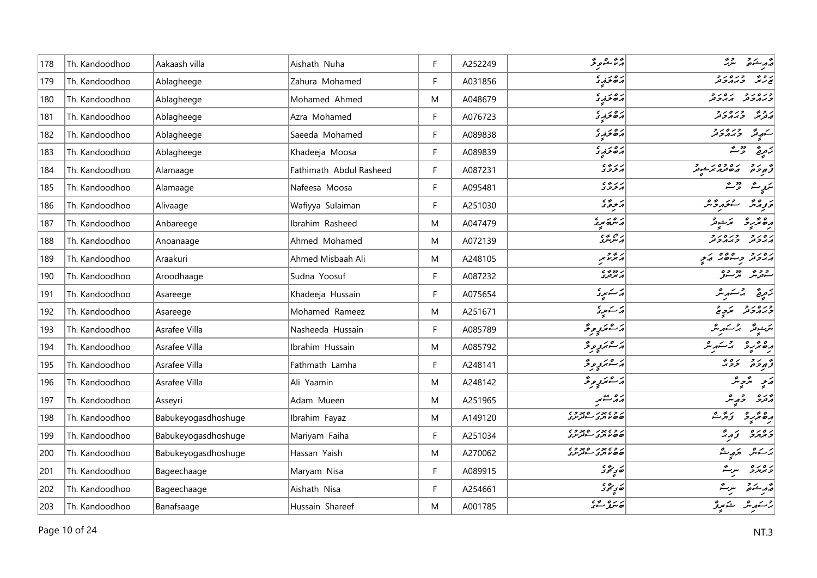| 178 | Th. Kandoodhoo | Aakaash villa       | Aishath Nuha            | F  | A252249 | دَيَّنْ شُعْرِ مَحْهِ                   | سرجر<br>اند مرکز دید.<br>است                                 |
|-----|----------------|---------------------|-------------------------|----|---------|-----------------------------------------|--------------------------------------------------------------|
| 179 | Th. Kandoodhoo | Ablagheege          | Zahura Mohamed          | F. | A031856 | پره ځرنړ ځ                              | ىر دې<br>ىن س                                                |
| 180 | Th. Kandoodhoo | Ablagheege          | Mohamed Ahmed           | M  | A048679 | رەپرې                                   | ورەر دەرد<br><i>دى</i> رمەنز <mark>م</mark> ىرى              |
| 181 | Th. Kandoodhoo | Ablagheege          | Azra Mohamed            | F  | A076723 | پژه ځوړ ځ                               | و ره ر د<br>تر پر ژنر<br>پر ج محر<br><i>ه</i> ر فرنگر        |
| 182 | Th. Kandoodhoo | Ablagheege          | Saeeda Mohamed          | F  | A089838 | رەر<br>  رەمۇرى                         | و ره د د<br>تر پر ژنر<br>سَمَدٍ مَّرَ                        |
| 183 | Th. Kandoodhoo | Ablagheege          | Khadeeja Moosa          | F  | A089839 | رە دۇر ؟<br>مەھمۇرى                     | ئر تور <sup>م</sup> ج<br>ح<br>دين مشر                        |
| 184 | Th. Kandoodhoo | Alamaage            | Fathimath Abdul Rasheed | F  | A087231 | ر ر د »<br>پرنوبری                      | ژ <sub>گ</sub> وره ده ده برخون                               |
| 185 | Th. Kandoodhoo | Alamaage            | Nafeesa Moosa           | F  | A095481 | ر ر ه ،<br>د <del>ر</del> د د           | شريت المجاث                                                  |
| 186 | Th. Kandoodhoo | Alivaage            | Wafiyya Sulaiman        | F. | A251030 | ر<br>پروگری                             | ۇروپۇ                                                        |
| 187 | Th. Kandoodhoo | Anbareege           | Ibrahim Rasheed         | M  | A047479 | ر هغه مړي<br>د سره مړي                  | دە ئەرد<br>كرمشوقر                                           |
| 188 | Th. Kandoodhoo | Anoanaage           | Ahmed Mohamed           | M  | A072139 | ىر مىرى <i>گە</i> ي                     | ر 2 ر و<br>م <i>رگ</i> رونر<br>و ر ه ر و<br><i>و پر د</i> تر |
| 189 | Th. Kandoodhoo | Araakuri            | Ahmed Misbaah Ali       | M  | A248105 | بر پڑ جہ<br>مریم س                      | رەر دە دەھ كەير                                              |
| 190 | Th. Kandoodhoo | Aroodhaage          | Sudna Yoosuf            | F  | A087232 | ر دور د<br>در موتوی                     | حەد ئەر 1952.<br>سەندىئر بىر سۆز                             |
| 191 | Th. Kandoodhoo | Asareege            | Khadeeja Hussain        | F  | A075654 | وسنعبو                                  | تزمريق الركستمريش                                            |
| 192 | Th. Kandoodhoo | Asareege            | Mohamed Rameez          | M  | A251671 | ېر کے پیری<br>م                         | ورەرو تردى                                                   |
| 193 | Th. Kandoodhoo | Asrafee Villa       | Nasheeda Hussain        | F. | A085789 | ر<br>مەسىم <i>ئو</i> رۇ                 | لترجيق الرحيم للرامل                                         |
| 194 | Th. Kandoodhoo | Asrafee Villa       | Ibrahim Hussain         | M  | A085792 | رَحْسَوَ وِعَهِ                         | د ۱۵ پر د<br>بر ئەمەر بىر                                    |
| 195 | Th. Kandoodhoo | Asrafee Villa       | Fathmath Lamha          | F. | A248141 | تەسىر تەرىخە                            | ۇ بوخ <sup>ە</sup><br>ىزەپ                                   |
| 196 | Th. Kandoodhoo | Asrafee Villa       | Ali Yaamin              | M  | A248142 | <br> د سفهمو پوځه                       | ړې گړې شر                                                    |
| 197 | Th. Kandoodhoo | Asseyri             | Adam Mueen              | M  | A251965 | لتره يھير                               | پە بەرە<br>مەنىرى<br>خەمپىر                                  |
| 198 | Th. Kandoodhoo | Babukeyogasdhoshuge | Ibrahim Fayaz           | M  | A149120 | ر و ، پر ر ه پر و ،<br>ن ن ن در سوترنری | ە ھەترىر <sup>ە</sup><br>تر پژ شه                            |
| 199 | Th. Kandoodhoo | Babukeyogasdhoshuge | Mariyam Faiha           | F  | A251034 | ر و ، پر ر ه پر و ،<br>ن ن د در سوتر ر  | ر ه ر ه<br><del>ر</del> بربرگ<br>ۇ مەش                       |
| 200 | Th. Kandoodhoo | Babukeyogasdhoshuge | Hassan Yaish            | M  | A270062 | ر و ، پر ر ه پر و ،<br>ن ن د بر ک       | برسەيىر<br>پر چیم کے                                         |
| 201 | Th. Kandoodhoo | Bageechaage         | Maryam Nisa             | F  | A089915 | ر<br>صی گوی                             | ر ہ ر ہ<br><del>ر</del> بربرد<br>سررمحہ                      |
| 202 | Th. Kandoodhoo | Bageechaage         | Aishath Nisa            | F. | A254661 | له د په ده<br>موسي                      | پ <sup>و</sup> مرشوحو<br>سررمج                               |
| 203 | Th. Kandoodhoo | Banafsaage          | Hussain Shareef         | M  | A001785 | ە ئىرە بەي                              | جرڪرماش ڪوليوري                                              |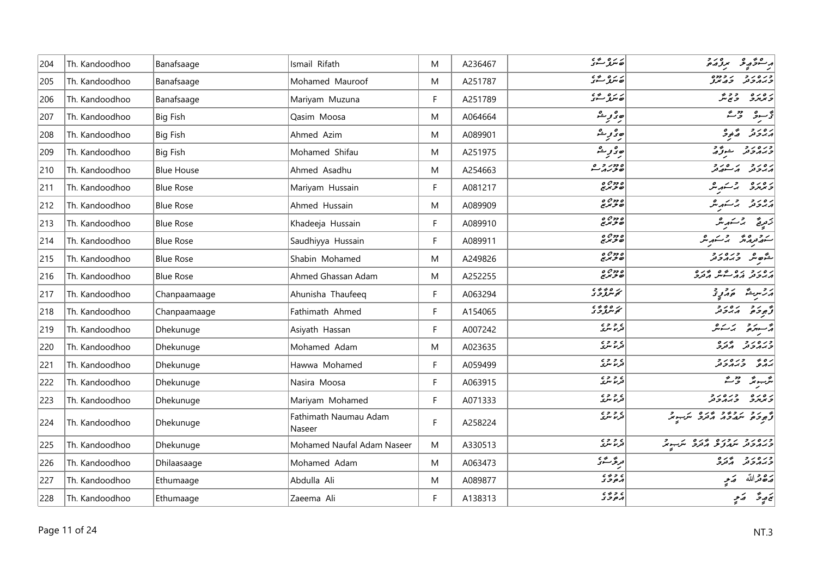| 204 | Th. Kandoodhoo | Banafsaage        | Ismail Rifath                   | M         | A236467 | پر په وي.<br>ت <i>خ</i> سرگر       | ر شو په ده د ور د                              |
|-----|----------------|-------------------|---------------------------------|-----------|---------|------------------------------------|------------------------------------------------|
| 205 | Th. Kandoodhoo | Banafsaage        | Mohamed Mauroof                 | ${\sf M}$ | A251787 | ر ره په په<br><i>ه</i> نرنو ک      | כנסנכ נכחם<br>כ <i>ג</i> ונכני כו <i>גנ</i>    |
| 206 | Th. Kandoodhoo | Banafsaage        | Mariyam Muzuna                  | F         | A251789 | پر په وي.<br>ح <i>سرتي څ</i> ن     | ر ه ر ه<br><del>ر</del> بربر ژ<br>ح تح مگر     |
| 207 | Th. Kandoodhoo | <b>Big Fish</b>   | Qasim Moosa                     | M         | A064664 | ھوتور می                           | تۇسىرى تۆرگ                                    |
| 208 | Th. Kandoodhoo | <b>Big Fish</b>   | Ahmed Azim                      | M         | A089901 | <br> حوتمو شه                      | رەر ئەۋ                                        |
| 209 | Th. Kandoodhoo | <b>Big Fish</b>   | Mohamed Shifau                  | ${\sf M}$ | A251975 | <br> حوتمو مشر                     | وره رو در وو<br><i>د بر د بر د و</i>           |
| 210 | Th. Kandoodhoo | <b>Blue House</b> | Ahmed Asadhu                    | ${\sf M}$ | A254663 | ە دور دې<br>مور تەرى               | גפגב גםגב<br>הגבע הביהיב                       |
| 211 | Th. Kandoodhoo | <b>Blue Rose</b>  | Mariyam Hussain                 | F         | A081217 | ۵ دوم ه<br>  حو مربح               | دەرە جەكەش                                     |
| 212 | Th. Kandoodhoo | <b>Blue Rose</b>  | Ahmed Hussain                   | ${\sf M}$ | A089909 | <br>  ۱۵ مرمری                     | رەرو جەمئىر                                    |
| 213 | Th. Kandoodhoo | <b>Blue Rose</b>  | Khadeeja Hussain                | F         | A089910 | <br>  خو مربح<br>                  | أرَمْرِيحَ بِرَكْتُمْ مِنْ                     |
| 214 | Th. Kandoodhoo | <b>Blue Rose</b>  | Saudhiyya Hussain               | F         | A089911 | <br>  خو مربح<br>                  | سور مرد و محمد شهر مر                          |
| 215 | Th. Kandoodhoo | <b>Blue Rose</b>  | Shabin Mohamed                  | ${\sf M}$ | A249826 | <br>  ۱۵ مرمری                     | شگەش دىرەرد                                    |
| 216 | Th. Kandoodhoo | <b>Blue Rose</b>  | Ahmed Ghassan Adam              | ${\sf M}$ | A252255 | <br>  ۱۵ مرمری                     | ره ر د په ده و په ده<br>م.پروتر م.م.شهر م.ترو  |
| 217 | Th. Kandoodhoo | Chanpaamaage      | Ahunisha Thaufeeq               | F         | A063294 | ىر ھەم ئەر<br>كىمى سرقى تەر        | أرجس المرور والمحمد والمحمدة والمحمدة          |
| 218 | Th. Kandoodhoo | Chanpaamaage      | Fathimath Ahmed                 | F         | A154065 | ىر ەيرىپە<br>كىمىسرتىرى            | و د د ده د د                                   |
| 219 | Th. Kandoodhoo | Dhekunuge         | Asiyath Hassan                  | F         | A007242 | ، و و ،<br>تور سری                 | أرسى برخاش                                     |
| 220 | Th. Kandoodhoo | Dhekunuge         | Mohamed Adam                    | M         | A023635 | ی و و ،<br>تور سری                 | כנסנכ שנם<br>כ <i>ה</i> תכת תב <i>נכ</i>       |
| 221 | Th. Kandoodhoo | Dhekunuge         | Hawwa Mohamed                   | F         | A059499 | ، و و ،<br>تور سری                 | و ره ر د<br>تر پر ژمر<br>برە پچ                |
| 222 | Th. Kandoodhoo | Dhekunuge         | Nasira Moosa                    | F         | A063915 | ړ <i>د د</i> ›<br>تر <i>نا</i> مرۍ | لترجيحه وحرثته                                 |
| 223 | Th. Kandoodhoo | Dhekunuge         | Mariyam Mohamed                 | F         | A071333 | ے ج ج ے<br>توریم سری               | ر ه ر ه<br>د بربرگ<br>ورەر د<br><i>دى</i> رگەر |
| 224 | Th. Kandoodhoo | Dhekunuge         | Fathimath Naumau Adam<br>Naseer | F         | A258224 | ء و و ء<br>تور سری                 | و د د د د د د د ه سرب                          |
| 225 | Th. Kandoodhoo | Dhekunuge         | Mohamed Naufal Adam Naseer      | ${\sf M}$ | A330513 | ء و و ء<br>تور سری                 | ورەرو رورو ورە شرماتى                          |
| 226 | Th. Kandoodhoo | Dhilaasaage       | Mohamed Adam                    | M         | A063473 | ەرگۇرىچى                           | ورەرو پەرە                                     |
| 227 | Th. Kandoodhoo | Ethumaage         | Abdulla Ali                     | M         | A089877 | <br>  پره د د د                    | <mark>برًە قر</mark> اللّه<br>ەتىر             |
| 228 | Th. Kandoodhoo | Ethumaage         | Zaeema Ali                      | F         | A138313 | ن و د د<br>پره و د                 | كم وقتح وكالمحيا                               |
|     |                |                   |                                 |           |         |                                    |                                                |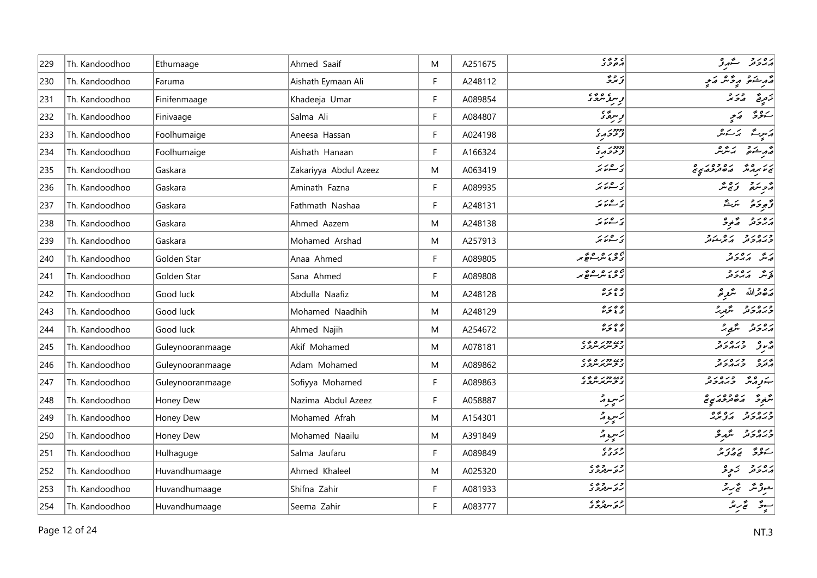| 229 | Th. Kandoodhoo | Ethumaage        | Ahmed Saaif           | M  | A251675 | ) د د د د<br>ابر مور د                                    | رەرو ش <sub>ىر</sub> و                                                                                                                                    |
|-----|----------------|------------------|-----------------------|----|---------|-----------------------------------------------------------|-----------------------------------------------------------------------------------------------------------------------------------------------------------|
| 230 | Th. Kandoodhoo | Faruma           | Aishath Eymaan Ali    | F  | A248112 | ر و د                                                     |                                                                                                                                                           |
| 231 | Th. Kandoodhoo | Finifenmaage     | Khadeeja Umar         | F  | A089854 | ار سوء موء<br>پرسر شده د                                  | و المستكم الموقع و المعرفي المستجد<br>أن المستكم المستكم المستجد<br>أن المستكم المستكم المستكم المستجدد المستجدد المستكم المستكمر المستكم المستكم المستكم |
| 232 | Th. Kandoodhoo | Finivaage        | Salma Ali             | F  | A084807 | و سرچ <sup>ي</sup>                                        | جنورة المنامج                                                                                                                                             |
| 233 | Th. Kandoodhoo | Foolhumaige      | Aneesa Hassan         | F  | A024198 | دد دور ر<br>تو بر بر بر                                   | برسەيىتىر<br>ر سریے<br>پ                                                                                                                                  |
| 234 | Th. Kandoodhoo | Foolhumaige      | Aishath Hanaan        | F  | A166324 | ددود ر<br>ژنژ د بر                                        | ۇرىشۇ ئەشرىش                                                                                                                                              |
| 235 | Th. Kandoodhoo | Gaskara          | Zakariyya Abdul Azeez | M  | A063419 | ر 2 ئەرىر<br>ئ                                            | בל בחיר הסתיבה בי                                                                                                                                         |
| 236 | Th. Kandoodhoo | Gaskara          | Aminath Fazna         | F  | A089935 | ى سەرىمىر                                                 | أأدم المحافظ والمحافظ                                                                                                                                     |
| 237 | Th. Kandoodhoo | Gaskara          | Fathmath Nashaa       | F. | A248131 | ى سەرىمىر                                                 | قُ و د د سَرَجَّة ا                                                                                                                                       |
| 238 | Th. Kandoodhoo | Gaskara          | Ahmed Aazem           | M  | A248138 | ى سەئەتىر                                                 | رەر د پر                                                                                                                                                  |
| 239 | Th. Kandoodhoo | Gaskara          | Mohamed Arshad        | M  | A257913 | ر 2 س <sup>ر</sup> ىر<br>ئەسىرىكىر                        | ورەرو رەرد                                                                                                                                                |
| 240 | Th. Kandoodhoo | Golden Star      | Anaa Ahmed            | F  | A089805 | ە ە رە ھەم<br>ئەمەن ئىرسىۋە                               | ړند پره رو                                                                                                                                                |
| 241 | Th. Kandoodhoo | Golden Star      | Sana Ahmed            | F  | A089808 | ە ە رە ھەم<br>ئەمەن مەرسۇغ بىر                            | پر شہر در د                                                                                                                                               |
| 242 | Th. Kandoodhoo | Good luck        | Abdulla Naafiz        | M  | A248128 | ە ە بەرە<br>ئ                                             | رچىقراللە ش <i>ىر ۋ</i>                                                                                                                                   |
| 243 | Th. Kandoodhoo | Good luck        | Mohamed Naadhih       | M  | A248129 | ە ە بەرە<br>ئ                                             | و ر ه ر د<br>تر پر ژنر<br>سۇپرر                                                                                                                           |
| 244 | Th. Kandoodhoo | Good luck        | Ahmed Najih           | M  | A254672 | ە ە بەرە<br>ئىقلىقىلىق                                    | دەر د شھرت                                                                                                                                                |
| 245 | Th. Kandoodhoo | Guleynooranmaage | Akif Mohamed          | M  | A078181 | وړ، دور ه پو ،<br>د <del>نو</del> سرپوسر <del>ن</del> و د | أشرو ورەرو                                                                                                                                                |
| 246 | Th. Kandoodhoo | Guleynooranmaage | Adam Mohamed          | M  | A089862 | وړ، دور ه د ،<br>د نوسربرسرچ د                            | وره دره دو<br>مرفر وبرمرو                                                                                                                                 |
| 247 | Th. Kandoodhoo | Guleynooranmaage | Sofiyya Mohamed       | F  | A089863 | وړ، دور ه په ،<br>د <del>ن</del> رسرپرسر <del>و</del> د   |                                                                                                                                                           |
| 248 | Th. Kandoodhoo | Honey Dew        | Nazima Abdul Azeez    | F  | A058887 | ئەبىيە د <sup>ە</sup>                                     | ره وه در په ه<br>پرخوبر سي مخ<br>متنفرقه                                                                                                                  |
| 249 | Th. Kandoodhoo | Honey Dew        | Mohamed Afrah         | M  | A154301 | ئەسىدە<br>ئەس                                             | כנסנכ נסשם<br>כמחכת הציגה                                                                                                                                 |
| 250 | Th. Kandoodhoo | Honey Dew        | Mohamed Naailu        | M  | A391849 | ئەسبەد<br>ئەسبە                                           | ورەر د شمرو                                                                                                                                               |
| 251 | Th. Kandoodhoo | Hulhaguge        | Salma Jaufaru         | F  | A089849 | و ر و ،<br>رى ى                                           | سەۋۇ<br>پر ور و<br>مح <i> هر</i> و سر                                                                                                                     |
| 252 | Th. Kandoodhoo | Huvandhumaage    | Ahmed Khaleel         | M  | A025320 | و ر<br>ره سربرو د                                         | رەر تەر                                                                                                                                                   |
| 253 | Th. Kandoodhoo | Huvandhumaage    | Shifna Zahir          | F  | A081933 | و ر په وه و.<br>رو سربرو و                                | شورق مع بر چر                                                                                                                                             |
| 254 | Th. Kandoodhoo | Huvandhumaage    | Seema Zahir           | F  | A083777 | ور سروره و<br>ره سربرو د                                  | $\begin{array}{ c c } \hline z&z&z\\ \hline z&z&z\\ \hline \end{array}$                                                                                   |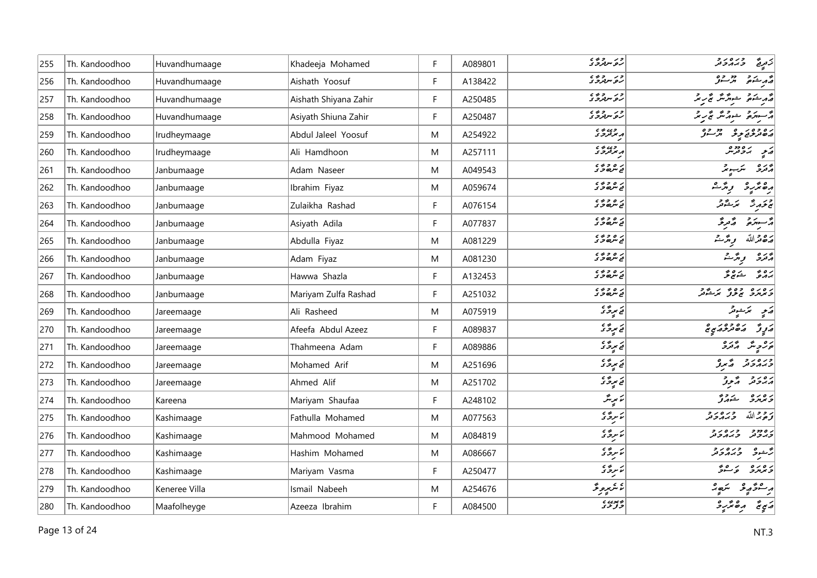| 255 | Th. Kandoodhoo | Huvandhumaage | Khadeeja Mohamed      | F  | A089801 | و ر په و ده و<br>رنح سرپرو د          | و ره ر د<br><i>د ب</i> رگرفر<br>  ترموقح          |
|-----|----------------|---------------|-----------------------|----|---------|---------------------------------------|---------------------------------------------------|
| 256 | Th. Kandoodhoo | Huvandhumaage | Aishath Yoosuf        | F  | A138422 | و ر په ده د<br>ره سربرو د             | ه مشور دو وه<br>د مشور الرسسو                     |
| 257 | Th. Kandoodhoo | Huvandhumaage | Aishath Shiyana Zahir | F. | A250485 | و ر په و د و<br>روسربرو د             | د.<br>در شوه شورگر محر بر                         |
| 258 | Th. Kandoodhoo | Huvandhumaage | Asiyath Shiuna Zahir  | F  | A250487 | ور سروره د<br>ره سربرو د              | ومستركو سورمنگر لج كريم                           |
| 259 | Th. Kandoodhoo | Irudheymaage  | Abdul Jaleel Yoosuf   | M  | A254922 | د بر بر بر بر<br>  د بر تر تر د       | ן 2000 פי 100 בר.<br>המשתפה פי האמריק             |
| 260 | Th. Kandoodhoo | Irudheymaage  | Ali Hamdhoon          | M  | A257111 | <br>  مرمور د ک                       | أە ئەرەدە                                         |
| 261 | Th. Kandoodhoo | Janbumaage    | Adam Naseer           | M  | A049543 | ر ه د و و ،<br>تع سرچ تر د            | أرتره الكرسور                                     |
| 262 | Th. Kandoodhoo | Janbumaage    | Ibrahim Fiyaz         | M  | A059674 | ر ه د د »<br>د سره تر د               | ەھترىرى <sub>زى</sub> رىشى<br>رەھترىرى زىرگ       |
| 263 | Th. Kandoodhoo | Janbumaage    | Zulaikha Rashad       | F  | A076154 | ر ه د و و ،<br>د سره تر د             | -<br>  بح ځرمر څ<br>ىر شەقر                       |
| 264 | Th. Kandoodhoo | Janbumaage    | Asiyath Adila         | F  | A077837 | ر ه و و »<br>تع سرح و ی               | ە سىلەم ئەرگە                                     |
| 265 | Th. Kandoodhoo | Janbumaage    | Abdulla Fiyaz         | M  | A081229 | ر ه د و و ،<br>تع سرچ تر د            | ەھىراللە<br>ى ئۆرىشە                              |
| 266 | Th. Kandoodhoo | Janbumaage    | Adam Fiyaz            | M  | A081230 | ر ه د و و ،<br>تع سرچ تر د            | أوره ويرت                                         |
| 267 | Th. Kandoodhoo | Janbumaage    | Hawwa Shazla          | F  | A132453 | ر ه د و و<br>نح سرچ تر د              | رەپر شەرەپر                                       |
| 268 | Th. Kandoodhoo | Janbumaage    | Mariyam Zulfa Rashad  | F  | A251032 | ر ه د و و ،<br>تع سرچ تر د            | ر ٥ ر ٥ ر ٥ وي مرکز و<br>تر بر بر د مخرقی مرکز مر |
| 269 | Th. Kandoodhoo | Jareemaage    | Ali Rasheed           | M  | A075919 | <br>  تع سرپر د                       | وكو المركبيوتر<br>المنتجم المركبيوتر              |
| 270 | Th. Kandoodhoo | Jareemaage    | Afeefa Abdul Azeez    | F  | A089837 | <br>  نئے سرپر گر                     |                                                   |
| 271 | Th. Kandoodhoo | Jareemaage    | Thahmeena Adam        | F  | A089886 | پر پرچ پر<br>  پئے مور <sup>2</sup> پ | ره شهر وره<br>ورد شهر محمد                        |
| 272 | Th. Kandoodhoo | Jareemaage    | Mohamed Arif          | M  | A251696 | <br>  تع سرچ <sub>ک</sub>             | ورەر د پرو                                        |
| 273 | Th. Kandoodhoo | Jareemaage    | Ahmed Alif            | M  | A251702 | <br>  نئے مور <sup>5</sup> ک          | دمجموتر<br>ر ەر د<br>م.رى                         |
| 274 | Th. Kandoodhoo | Kareena       | Mariyam Shaufaa       | F  | A248102 | ئەبىرىتىر                             | ستەدىق<br>ر ەر ە<br>5 بىرىر <i>ي</i>              |
| 275 | Th. Kandoodhoo | Kashimaage    | Fathulla Mohamed      | M  | A077563 | ر<br>ما مردگا                         | و رە ر د<br>تر پروتر<br>ترة بر الله               |
| 276 | Th. Kandoodhoo | Kashimaage    | Mahmood Mohamed       | M  | A084819 | ر<br>مأمرچۍ                           | و رە ر د<br>تر پروتر<br>ر ه دو و<br>تربر تر       |
| 277 | Th. Kandoodhoo | Kashimaage    | Hashim Mohamed        | M  | A086667 | ر<br>ما مردگا                         | و ره ر د<br><i>و پر د</i> تر<br>رٌ شەۋ            |
| 278 | Th. Kandoodhoo | Kashimaage    | Mariyam Vasma         | F. | A250477 | ئەبرىۋى                               | ر ه ر ه<br><del>ر</del> بربرد<br>ىرمەيچ           |
| 279 | Th. Kandoodhoo | Keneree Villa | Ismail Nabeeh         | M  | A254676 | ءکینیپورمح                            | وستوقيعه<br>سرەبر                                 |
| 280 | Th. Kandoodhoo | Maafolheyge   | Azeeza Ibrahim        | F. | A084500 | ه پون<br>ترتو نو ت                    | مَبِيءٌ مِعْتَرِدٌ                                |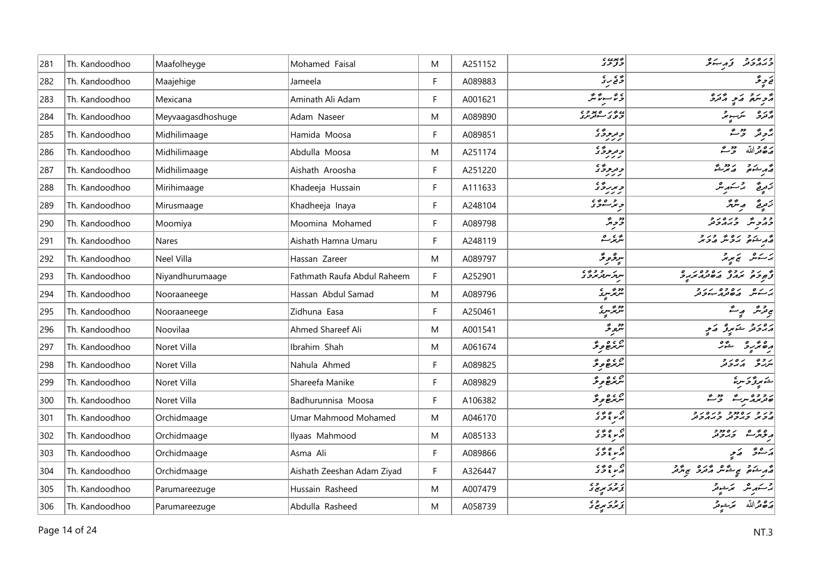| 281 | Th. Kandoodhoo | Maafolheyge       | Mohamed Faisal              | M  | A251152 | ەيدى ،<br>تركرىر                    | ورەرو تەرىكى                                                           |
|-----|----------------|-------------------|-----------------------------|----|---------|-------------------------------------|------------------------------------------------------------------------|
| 282 | Th. Kandoodhoo | Maajehige         | Jameela                     | F. | A089883 | پرې دي<br>  پرې توريخ               | تح حرقر                                                                |
| 283 | Th. Kandoodhoo | Mexicana          | Aminath Ali Adam            | F  | A001621 | <sup>ى ھ</sup> سىرتىگە              | والمعلمة وأستحر والمترد                                                |
| 284 | Th. Kandoodhoo | Meyvaagasdhoshuge | Adam Naseer                 | M  | A089890 | در بر ره پو و د<br>تر بو کا سوفرمرۍ | وره مرسوند<br>مرکز مرسوند                                              |
| 285 | Th. Kandoodhoo | Midhilimaage      | Hamida Moosa                | F  | A089851 | او درودي<br><u>رس</u> ر             |                                                                        |
| 286 | Th. Kandoodhoo | Midhilimaage      | Abdulla Moosa               | M  | A251174 | و درودگی<br>بر بر بر                | مَدْهُ قَدْ اللّه حَقْ تَ                                              |
| 287 | Th. Kandoodhoo | Midhilimaage      | Aishath Aroosha             | F  | A251220 | و درودگی<br>بر بر بر                | وكرد شوه و برخش                                                        |
| 288 | Th. Kandoodhoo | Mirihimaage       | Khadeeja Hussain            | F  | A111633 | او بوروی<br><u>دربر</u> وی          | زَمْرِيحَ بِرُسَوِيرِ<br>زَمْرِيحَ بِرُسَوِيرُ<br>زَمْرِيحَ مِيسَمَّدُ |
| 289 | Th. Kandoodhoo | Mirusmaage        | Khadheeja Inaya             | F. | A248104 | د بر شوی                            |                                                                        |
| 290 | Th. Kandoodhoo | Moomiya           | Moomina Mohamed             | F  | A089798 | وترور                               | ووحش ورەرد                                                             |
| 291 | Th. Kandoodhoo | <b>Nares</b>      | Aishath Hamna Umaru         | F. | A248119 | پڑ پر ہ                             | ه در دره به در د                                                       |
| 292 | Th. Kandoodhoo | Neel Villa        | Hassan Zareer               | M  | A089797 | سرچرېڅر                             | ىرىكىش ئائىرىم                                                         |
| 293 | Th. Kandoodhoo | Niyandhurumaaqe   | Fathmath Raufa Abdul Raheem | F  | A252901 | سرکر پر دی۔<br>سرکر سرفر تر دی      | و د د د د د د د د د د                                                  |
| 294 | Th. Kandoodhoo | Nooraaneege       | Hassan Abdul Samad          | M  | A089796 | چېچە سرى<br>سرىگە س <sub>ى</sub>    | ر کره ده ده در در<br>پرکستر مان محمد مستوفر                            |
| 295 | Th. Kandoodhoo | Nooraaneege       | Zidhuna Easa                | F. | A250461 | چېر شري<br>سرچر سرچ                 | پر قریمه مرتبه شد<br>  پر قریبه مرتبه مرتبه شد                         |
| 296 | Th. Kandoodhoo | Noovilaa          | Ahmed Shareef Ali           | M  | A001541 | يتره پڅه                            | رەرو خىمو كې                                                           |
| 297 | Th. Kandoodhoo | Noret Villa       | Ibrahim Shah                | M  | A061674 | تربز عجوقر                          | رەپزېرو شرو                                                            |
| 298 | Th. Kandoodhoo | Noret Villa       | Nahula Ahmed                | F. | A089825 | تربزءوبخر                           | بروو برەر د                                                            |
| 299 | Th. Kandoodhoo | Noret Villa       | Shareefa Manike             | F  | A089829 | تربز عجورمحر                        | ڪ پر تڙ <sub>ڪرم</sub> يز<br>س                                         |
| 300 | Th. Kandoodhoo | Noret Villa       | Badhurunnisa Moosa          | F  | A106382 | تربزءوبخر                           | ם בקמת ייתוב ברייבי                                                    |
| 301 | Th. Kandoodhoo | Orchidmaage       | Umar Mahmood Mohamed        | M  | A046170 | ه و و و .<br>مربع <del>و</del> د    | כני ניס בכן כניסינים<br>הכית כמכת כמהכת                                |
| 302 | Th. Kandoodhoo | Orchidmaage       | Ilyaas Mahmood              | M  | A085133 |                                     | ە ئەھەدە دەپرە<br>مەخەر سەر ئەر                                        |
| 303 | Th. Kandoodhoo | Orchidmaage       | Asma Ali                    | F. | A089866 |                                     | أرجعتى أتأمي                                                           |
| 304 | Th. Kandoodhoo | Orchidmaage       | Aishath Zeeshan Adam Ziyad  | F. | A326447 | ه وه و،<br>مرد در                   | وكرمشكم بإحده وكالره بمركز                                             |
| 305 | Th. Kandoodhoo | Parumareezuge     | Hussain Rasheed             | M  | A007479 | زېرېز پېړۍ                          | ج كەرلىر كەندىگە<br>مەككەن كىرىسى                                      |
| 306 | Th. Kandoodhoo | Parumareezuge     | Abdulla Rasheed             | M  | A058739 | تر تر چربچ ځ<br>  تر تنر چربچ ځه    | مَدْهُ مَّرْ سَمَّدَ مِّرْ مُسْرِ مِّرْ                                |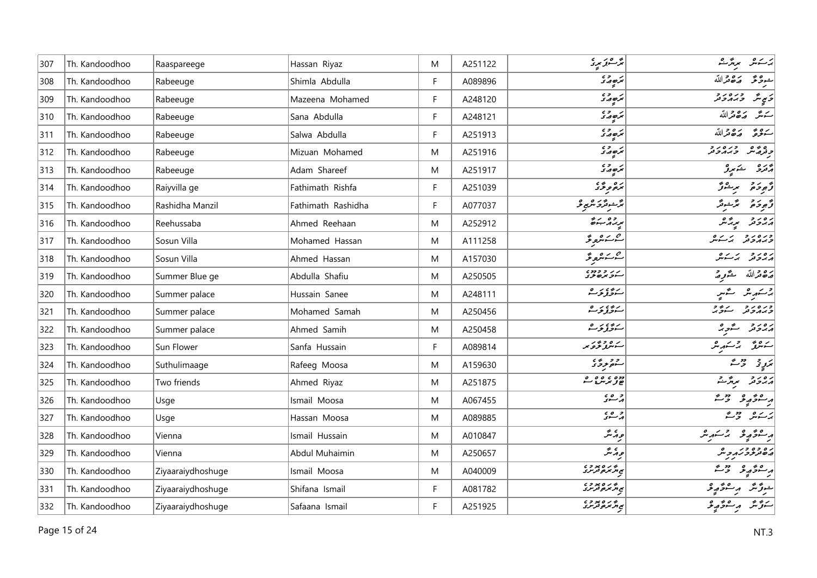| 307 | Th. Kandoodhoo | Raaspareege       | Hassan Riyaz       | M           | A251122 | ېژىشو ئەسمە <sup>ي</sup>                       | پرستمبر ہر ہر ہوتے                    |
|-----|----------------|-------------------|--------------------|-------------|---------|------------------------------------------------|---------------------------------------|
| 308 | Th. Kandoodhoo | Rabeeuge          | Shimla Abdulla     | F           | A089896 | پر چوړ د<br>مربح                               | حود رَصْرَ اللَّهُ                    |
| 309 | Th. Kandoodhoo | Rabeeuge          | Mazeena Mohamed    | $\mathsf F$ | A248120 | ر<br>ترەم د                                    | كەنتى ئەرەر ئە                        |
| 310 | Th. Kandoodhoo | Rabeeuge          | Sana Abdulla       | F           | A248121 | پر چوړ د<br>پر چوړ د                           | سَعتَر صَدْرَ اللَّهُ                 |
| 311 | Th. Kandoodhoo | Rabeeuge          | Salwa Abdulla      | F           | A251913 | پر صور د<br>مرڪ                                | يدوء رَهْ مَداللّه                    |
| 312 | Th. Kandoodhoo | Rabeeuge          | Mizuan Mohamed     | M           | A251916 | پر چوړ د<br>مربح                               |                                       |
| 313 | Th. Kandoodhoo | Rabeeuge          | Adam Shareef       | M           | A251917 | پر چوه د                                       | أرتمرو المشتمرو                       |
| 314 | Th. Kandoodhoo | Raiyvilla ge      | Fathimath Rishfa   | $\mathsf F$ | A251039 | ره وي<br>مر <sub>حو</sub> مونځو                | ۇي <sub>م</sub> وڭ <sub>ۇ بېش</sub> ۇ |
| 315 | Th. Kandoodhoo | Rashidha Manzil   | Fathimath Rashidha | F           | A077037 | ئ <sup>ۇ</sup> سۇن <i>ۇد ئىرى</i> ر            | ء مر د<br>ترموخ می<br>مگرىشونگر<br>مر |
| 316 | Th. Kandoodhoo | Reehussaba        | Ahmed Reehaan      | M           | A252912 | برره برهٔ                                      | رەرو بېرتىر                           |
| 317 | Th. Kandoodhoo | Sosun Villa       | Mohamed Hassan     | M           | A111258 | <u>م ئەسرىرى ئى</u>                            | ورەرو پەسەر                           |
| 318 | Th. Kandoodhoo | Sosun Villa       | Ahmed Hassan       | M           | A157030 | الشرسقىدى                                      | رەرد برىش                             |
| 319 | Th. Kandoodhoo | Summer Blue ge    | Abdulla Shafiu     | M           | A250505 | ر د د دده<br>سکو بوړنو د                       | رەقراللە شەرتە                        |
| 320 | Th. Kandoodhoo | Summer palace     | Hussain Sanee      | M           | A248111 | سەۋېزىر ھ                                      | يز سنهر شر سنگينې<br>سنگور شرکت       |
| 321 | Th. Kandoodhoo | Summer palace     | Mohamed Samah      | M           | A250456 | ىر ئۇ ئ <sub>ۇ</sub> ئەر ھ                     | ورەر دىر                              |
| 322 | Th. Kandoodhoo | Summer palace     | Ahmed Samih        | M           | A250458 | سەۋې <sub>ر</sub> ىر ھ                         | پروتر گے دی                           |
| 323 | Th. Kandoodhoo | Sun Flower        | Sanfa Hussain      | F           | A089814 | ر پەر دىرىر<br>سەمىرى ئىچى ئىر                 | سىستى برسىمبە                         |
| 324 | Th. Kandoodhoo | Suthulimaage      | Rafeeg Moosa       | M           | A159630 | ر د د په پ                                     | أتروق المحاشة                         |
| 325 | Th. Kandoodhoo | Two friends       | Ahmed Riyaz        | M           | A251875 | دده ، ه ه ه ه<br>چونر سرد ک                    | رەرد برېژنت                           |
| 326 | Th. Kandoodhoo | Usge              | Ismail Moosa       | M           | A067455 | د ه ،                                          | ر جۇم ئىستىم ھ                        |
| 327 | Th. Kandoodhoo | Usge              | Hassan Moosa       | M           | A089885 | دە ئە                                          | ير کے مراج کے مرکز                    |
| 328 | Th. Kandoodhoo | Vienna            | Ismail Hussain     | M           | A010847 | عرمزمتنه                                       | ر عۇرپۇ باشكىرىش                      |
| 329 | Th. Kandoodhoo | Vienna            | Abdul Muhaimin     | M           | A250657 | عەم تىگر                                       |                                       |
| 330 | Th. Kandoodhoo | Ziyaaraiydhoshuge | Ismail Moosa       | M           | A040009 | پر بر ه پر و بر<br>پح دگر <i>مر</i> جو تر سر پ | ر جۇم ئىستىم ھ                        |
| 331 | Th. Kandoodhoo | Ziyaaraiydhoshuge | Shifana Ismail     | F           | A081782 | ے مرکز مرکز دے<br>مجاہر مرکز مرکز              | جۇ ئىگە بەستۇپ ئو                     |
| 332 | Th. Kandoodhoo | Ziyaaraiydhoshuge | Safaana Ismail     | F           | A251925 | پر گره پو د په<br>مح                           | سۇ ئىگە بەس ئەتەپ ئو                  |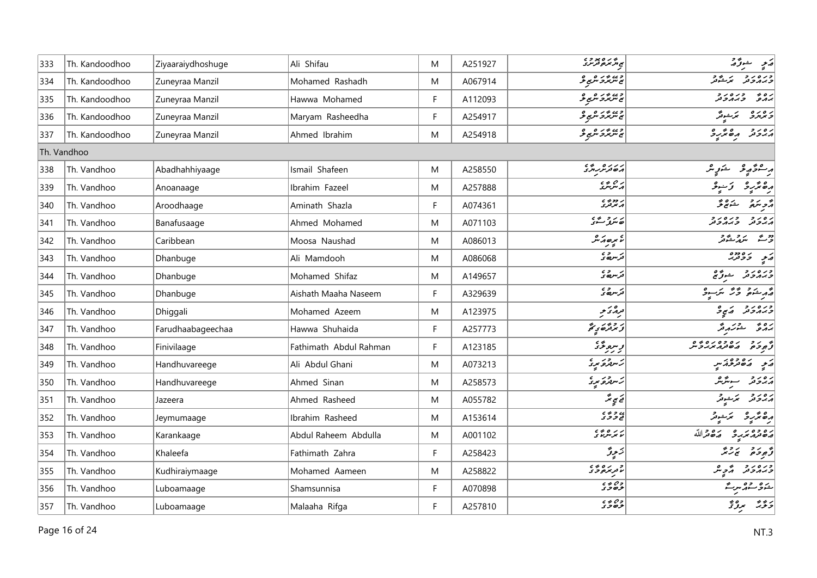| 333 | Th. Kandoodhoo | Ziyaaraiydhoshuge | Ali Shifau             | M           | A251927 | پر بر ۵ پر د پ<br>پم تر پرچ تر س            | ړې شوده.<br>مړينې                                          |
|-----|----------------|-------------------|------------------------|-------------|---------|---------------------------------------------|------------------------------------------------------------|
| 334 | Th. Kandoodhoo | Zuneyraa Manzil   | Mohamed Rashadh        | ${\sf M}$   | A067914 | و پر پر و.<br>بح شر پر ژ شریح څر            | ورەر د برگەد<br><i>دىد</i> ەرىر برگىد                      |
| 335 | Th. Kandoodhoo | Zuneyraa Manzil   | Hawwa Mohamed          | F           | A112093 | و پر پر و.<br>پر سر پر <del>و</del> سر پر و | و ره ر و<br><i>و پر</i> و تر<br>برە پچ                     |
| 336 | Th. Kandoodhoo | Zuneyraa Manzil   | Maryam Rasheedha       | F           | A254917 | و پر بر بر م<br>بر سر <i>بر د</i> سر بر څر  | رەرە بەيدۇر                                                |
| 337 | Th. Kandoodhoo | Zuneyraa Manzil   | Ahmed Ibrahim          | ${\sf M}$   | A254918 | و ۽، پر پر ھ <sub>ي</sub> پر                | גפנג הפיציב                                                |
|     | Th. Vandhoo    |                   |                        |             |         |                                             |                                                            |
| 338 | Th. Vandhoo    | Abadhahhiyaaqe    | Ismail Shafeen         | ${\sf M}$   | A258550 | ر ر ر ه ر پر پر<br>پرې تر شرير پر پر        | بر جۇي <sub>م</sub> ۇ ش <sub>ك</sub> رىر                   |
| 339 | Th. Vandhoo    | Anoanaage         | Ibrahim Fazeel         | ${\sf M}$   | A257888 | ر ۾ ءِ ۽<br>پرسرس                           | دەنزىرى ئەيدى                                              |
| 340 | Th. Vandhoo    | Aroodhaage        | Aminath Shazla         | F           | A074361 | ر دور ،<br>در بوترو                         | أروبتهم فتوافق                                             |
| 341 | Th. Vandhoo    | Banafusaage       | Ahmed Mohamed          | ${\sf M}$   | A071103 | ە ئىروپىيى                                  | بر 2 پر ج<br>مربر <del>5</del> فر<br>و ره ر د<br>تر پر ژنر |
| 342 | Th. Vandhoo    | Caribbean         | Moosa Naushad          | ${\sf M}$   | A086013 | تأمره وكمبثر                                | وحر شمر المراكبة والمحمد والمر                             |
| 343 | Th. Vandhoo    | Dhanbuge          | Ali Mamdooh            | M           | A086068 | ترسره ء                                     | أەسم بەدە                                                  |
| 344 | Th. Vandhoo    | Dhanbuge          | Mohamed Shifaz         | M           | A149657 | ترسره ء                                     | ورەرو ئىدۇنج                                               |
| 345 | Th. Vandhoo    | Dhanbuge          | Aishath Maaha Naseem   | $\mathsf F$ | A329639 | ر<br>ترسرچ ی                                | و <i>گه شوه و ده سرس</i> ور                                |
| 346 | Th. Vandhoo    | Dhiggali          | Mohamed Azeem          | ${\sf M}$   | A123975 | مرد نمر مو                                  | ورەر دىرە                                                  |
| 347 | Th. Vandhoo    | Farudhaabageechaa | Hawwa Shuhaida         | F           | A257773 | ر<br>  تو برتره <sub>مح</sub> مد            | رەپ شەرەپىر                                                |
| 348 | Th. Vandhoo    | Finivilaage       | Fathimath Abdul Rahman | F           | A123185 | اوسره څر <sup>ي</sup><br>ڪ                  | و د د ده ده ده وه و                                        |
| 349 | Th. Vandhoo    | Handhuvareege     | Ali Abdul Ghani        | ${\sf M}$   | A073213 | ر سرچر <i>ی پر</i> ی                        | أحجم المتحد والمراسي                                       |
| 350 | Th. Vandhoo    | Handhuvareege     | Ahmed Sinan            | ${\sf M}$   | A258573 | ر سروگر پردگی<br>سروگر پر پرد               | رەرد سەشھ                                                  |
| 351 | Th. Vandhoo    | Jazeera           | Ahmed Rasheed          | M           | A055782 | ئے بچ بخر                                   | رەر دىنبەتر                                                |
| 352 | Th. Vandhoo    | Jeymumaage        | Ibrahim Rasheed        | M           | A153614 | ړ، و بو ء<br>قع و و ی                       | رە ئرىر ئىن ئىشىر                                          |
| 353 | Th. Vandhoo    | Karankaage        | Abdul Raheem Abdulla   | M           | A001102 | ر ر ه و د ،<br>ما <del>ب</del> ر س          | بره وه بر و بره والله                                      |
| 354 | Th. Vandhoo    | Khaleefa          | Fathimath Zahra        | F           | A258423 | نزوٍوٌ                                      | وٌجوحَ حَمَدَ يَمْ                                         |
| 355 | Th. Vandhoo    | Kudhiraiymaage    | Mohamed Aameen         | ${\sf M}$   | A258822 | و پره وي<br>مامريزه و د                     | ورەرو ئەر                                                  |
| 356 | Th. Vandhoo    | Luboamaage        | Shamsunnisa            | F           | A070898 | و <i>0 ه</i> ء<br>موھ <del>و</del> ي        | ر ده ده سرگ                                                |
| 357 | Th. Vandhoo    | Luboamaage        | Malaaha Rifga          | F           | A257810 | و <i>0 ه</i> ي<br>مر <i>ه و</i> ي           | ر پوځه مروت <u>ځ</u>                                       |
|     |                |                   |                        |             |         |                                             |                                                            |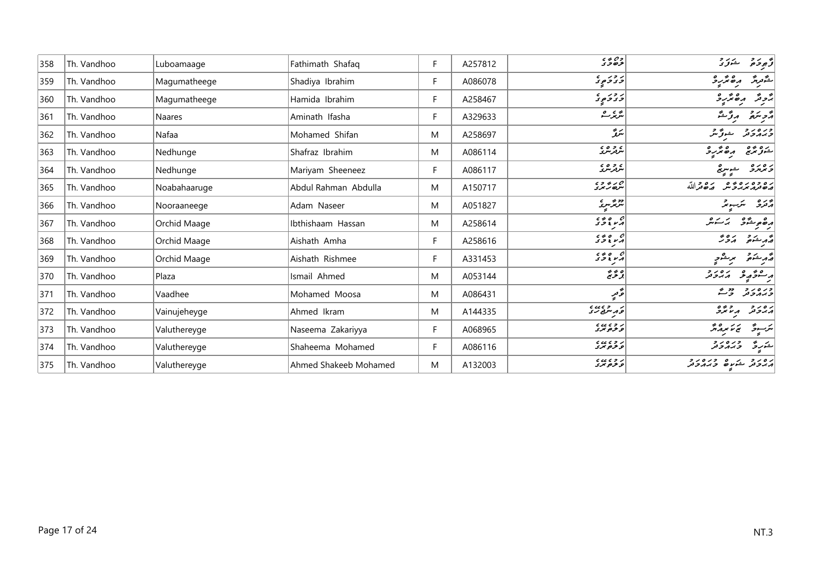| 358 | Th. Vandhoo | Luboamaage    | Fathimath Shafaq      | F  | A257812 | و <i>0 ه</i> ی<br>مو <b>ره</b> و ک     | شترتو تر<br>ا توجو څو                                                |
|-----|-------------|---------------|-----------------------|----|---------|----------------------------------------|----------------------------------------------------------------------|
| 359 | Th. Vandhoo | Magumatheege  | Shadiya Ibrahim       | F  | A086078 | پر ور م<br>  پر پر پ                   | $\circ$ $\circ$ $\circ$<br> شگەر پر<br>フンメめハ                         |
| 360 | Th. Vandhoo | Magumatheege  | Hamida Ibrahim        | F  | A258467 | تر تر تر پر تر                         | $\circ$ $\circ$ $\circ$<br>  پڑونٹر<br>برخ بزرقر                     |
| 361 | Th. Vandhoo | <b>Naares</b> | Aminath Ifasha        | F  | A329633 | ىئەبرگە                                | أثر حر شرحه<br>ر بو گ                                                |
| 362 | Th. Vandhoo | Nafaa         | Mohamed Shifan        | M  | A258697 | سَرُدٌ                                 | و ره ر د<br>تربر پر تر<br>ىشەرگرىتر                                  |
| 363 | Th. Vandhoo | Nedhunge      | Shafraz Ibrahim       | M  | A086114 | ء و ه ۽<br>سرپرسر                      | $\circ$ 40<br>ے ویڈی <sub>ں</sub><br>フンメめハ                           |
| 364 | Th. Vandhoo | Nedhunge      | Mariyam Sheeneez      | F  | A086117 | ے و و ۽<br>سرپرسر                      | پر ه پر ه<br>ڪوسرچ<br>پو                                             |
| 365 | Th. Vandhoo | Noabahaaruge  | Abdul Rahman Abdulla  | M  | A150717 | ے پر بر و ،<br>سرچاپ پر پ              | ح <b>صة تر</b> الله<br>ر ه و ه ر ه د ه<br>پره تربر <del>ت</del> ر بر |
| 366 | Th. Vandhoo | Nooraaneege   | Adam Naseer           | M  | A051827 | دو پر<br>سر پر س <sub>ر پ</sub> ر      | پر د ه<br>مرکز<br>ىئرسىدىتر                                          |
| 367 | Th. Vandhoo | Orchid Maage  | Ibthishaam Hassan     | M  | A258614 | م و و و ء<br>مربو و د                  | د ۱۵ موستوگر<br>برسەمىر                                              |
| 368 | Th. Vandhoo | Orchid Maage  | Aishath Amha          | F. | A258616 | م و و و ء<br>مربو و د                  | پچ پر ڪوي <sub>ج</sub><br>$\bullet$ o $\hspace{0.1cm}$<br>ارترت      |
| 369 | Th. Vandhoo | Orchid Maage  | Aishath Rishmee       | F. | A331453 | م و و و ،<br>درا                       | أثار مشوقو المرمشوح                                                  |
| 370 | Th. Vandhoo | Plaza         | Ismail Ahmed          | M  | A053144 | ە ئەتىج<br>بۇ ئىزىنج                   | لەر شۇرچ<br>ىر 2 كەتر                                                |
| 371 | Th. Vandhoo | Vaadhee       | Mohamed Moosa         | M  | A086431 | ر<br>ح مر                              | و ره ر د<br>تر پر ژ تر<br>s »                                        |
| 372 | Th. Vandhoo | Vainujeheyge  | Ahmed Ikram           | M  | A144335 | ر<br>تو د سرج ر د                      | أرەر دىرە                                                            |
| 373 | Th. Vandhoo | Valuthereyge  | Naseema Zakariyya     | F  | A068965 | ر و ،  د، ،<br>  تو خر پر <sub>ک</sub> | י ז' ז' זרות.<br>גם ז' זרות את<br> سرسبوسح                           |
| 374 | Th. Vandhoo | Valuthereyge  | Shaheema Mohamed      | F  | A086116 | ر و ، د، ،<br>حرمو بو د                | و ره ر و<br>تر پر ژمر<br> شەرقە                                      |
| 375 | Th. Vandhoo | Valuthereyge  | Ahmed Shakeeb Mohamed | M  | A132003 | ر و ، ر، ،<br>و <del>و</del> ه مرد     | د د د د د ه د د د د د د د د د                                        |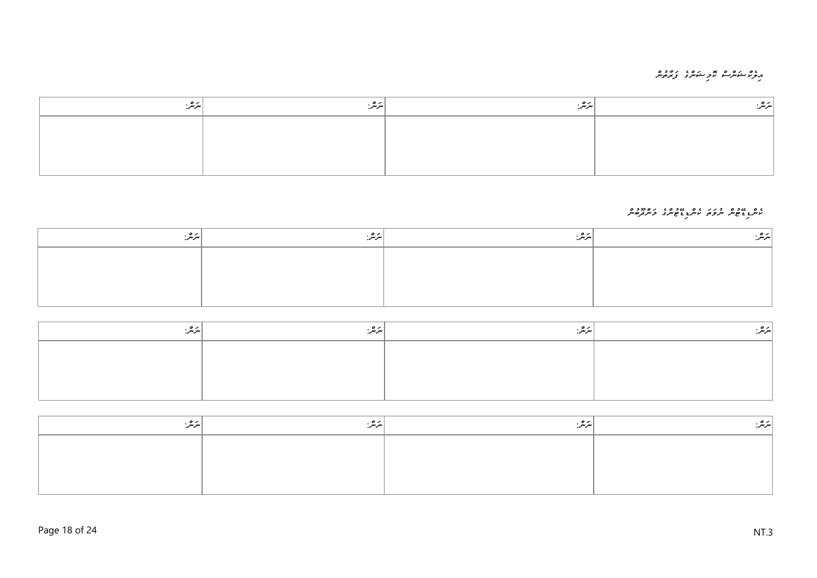## *w7qAn8m? sCw7mRo>u; wEw7mRw;sBo<*

| ' مرمر | 'يئرىثر: |
|--------|----------|
|        |          |
|        |          |
|        |          |

## *w7q9r@w7m> sCw7qHtFoFw7s; mAm=q7 w7qHtFoFw7s;*

| يئرمىش: | $^{\circ}$<br>. سر سر<br>$\cdot$ | $\circ$ $\sim$<br>-- | يئرمثر |
|---------|----------------------------------|----------------------|--------|
|         |                                  |                      |        |
|         |                                  |                      |        |
|         |                                  |                      |        |

| $\frac{2}{n}$ | $\overline{\phantom{a}}$ | اير هنه. | $\mathcal{O} \times$<br>سرسر |
|---------------|--------------------------|----------|------------------------------|
|               |                          |          |                              |
|               |                          |          |                              |
|               |                          |          |                              |

| ' ئىرتىر: | سر سر |  |
|-----------|-------|--|
|           |       |  |
|           |       |  |
|           |       |  |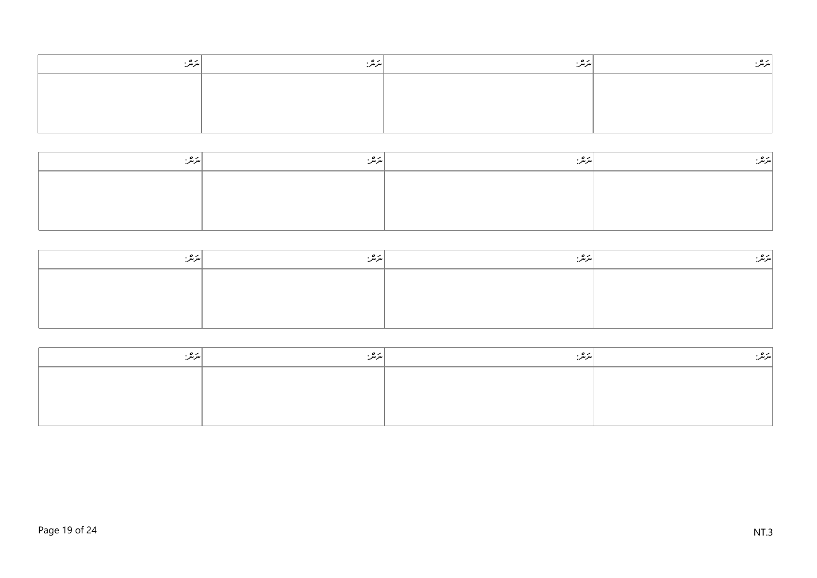| يزهر | $^{\circ}$ | ىئرىتر: |  |
|------|------------|---------|--|
|      |            |         |  |
|      |            |         |  |
|      |            |         |  |

| <sup>.</sup> سرسر. |  |
|--------------------|--|
|                    |  |
|                    |  |
|                    |  |

| ىئرىتر. | $\sim$ | ا بر هه. | لىرىش |
|---------|--------|----------|-------|
|         |        |          |       |
|         |        |          |       |
|         |        |          |       |

| 。<br>مرس. | $\overline{\phantom{a}}$<br>مر سر | يتريثر |
|-----------|-----------------------------------|--------|
|           |                                   |        |
|           |                                   |        |
|           |                                   |        |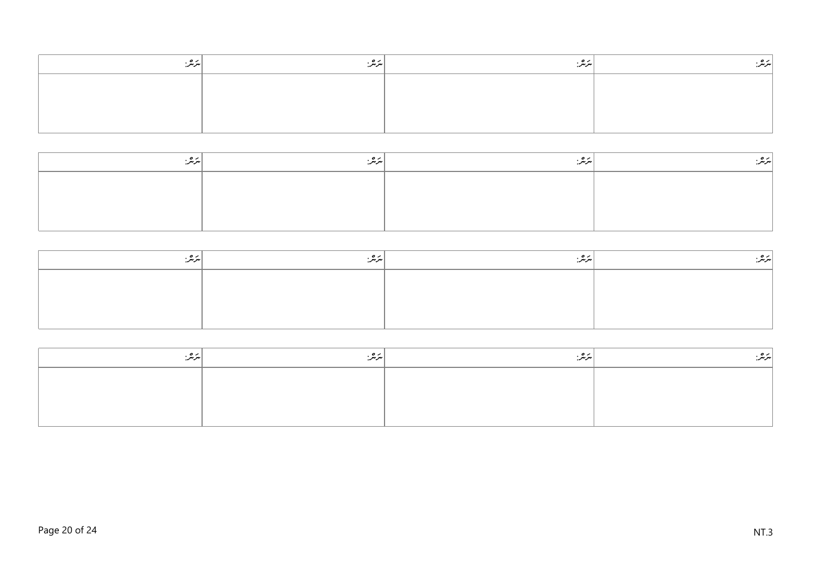| ير هو . | $\overline{\phantom{a}}$ | يرمر | اير هنه. |
|---------|--------------------------|------|----------|
|         |                          |      |          |
|         |                          |      |          |
|         |                          |      |          |

| ىر تىر: | $\circ$ $\sim$<br>" سرسر . | يبرحه | o . |
|---------|----------------------------|-------|-----|
|         |                            |       |     |
|         |                            |       |     |
|         |                            |       |     |

| ابترىثر: | $\sim$<br>. . |  |
|----------|---------------|--|
|          |               |  |
|          |               |  |
|          |               |  |

|  | . ه |
|--|-----|
|  |     |
|  |     |
|  |     |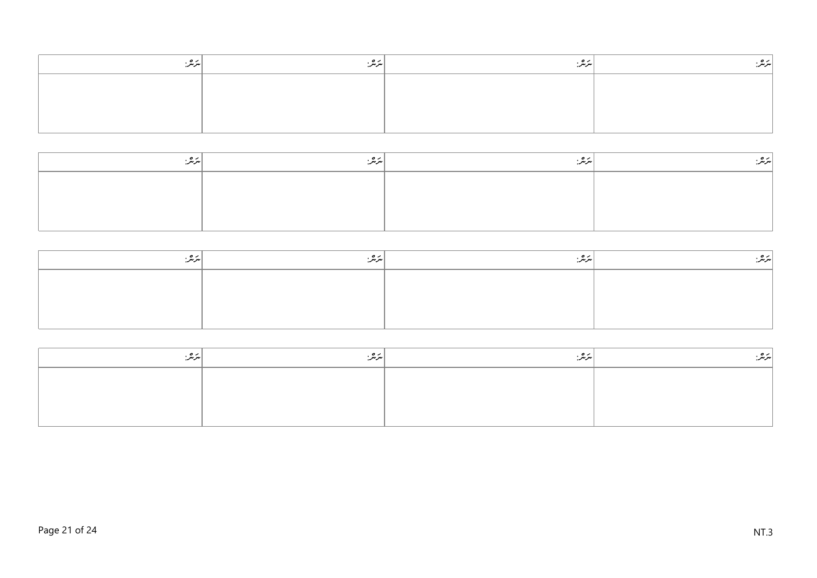| ير هو . | $\overline{\phantom{a}}$ | يرمر | اير هنه. |
|---------|--------------------------|------|----------|
|         |                          |      |          |
|         |                          |      |          |
|         |                          |      |          |

| ىر تىر: | $\circ$ $\sim$<br>" سرسر . | يبرحه | o . |
|---------|----------------------------|-------|-----|
|         |                            |       |     |
|         |                            |       |     |
|         |                            |       |     |

| 'تترنثر: | 。<br>,,,, |  |
|----------|-----------|--|
|          |           |  |
|          |           |  |
|          |           |  |

|  | . ه |
|--|-----|
|  |     |
|  |     |
|  |     |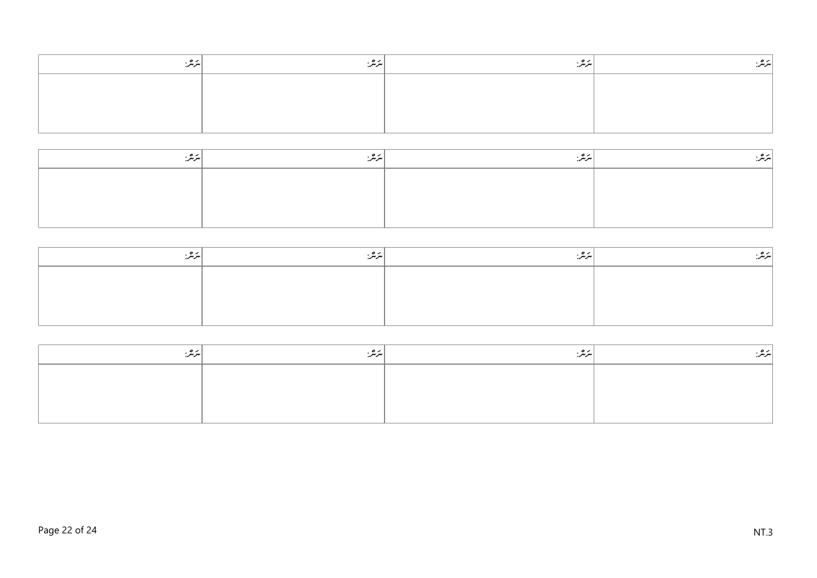| $\cdot$ | 。 | $\frac{\circ}{\cdot}$ | $\sim$<br>سرسر |
|---------|---|-----------------------|----------------|
|         |   |                       |                |
|         |   |                       |                |
|         |   |                       |                |

| يريثن | ' سرسر . |  |
|-------|----------|--|
|       |          |  |
|       |          |  |
|       |          |  |

| بر ه | . ه | $\sim$<br>سرسر |  |
|------|-----|----------------|--|
|      |     |                |  |
|      |     |                |  |
|      |     |                |  |

| 。<br>. س | ىرىىر |  |
|----------|-------|--|
|          |       |  |
|          |       |  |
|          |       |  |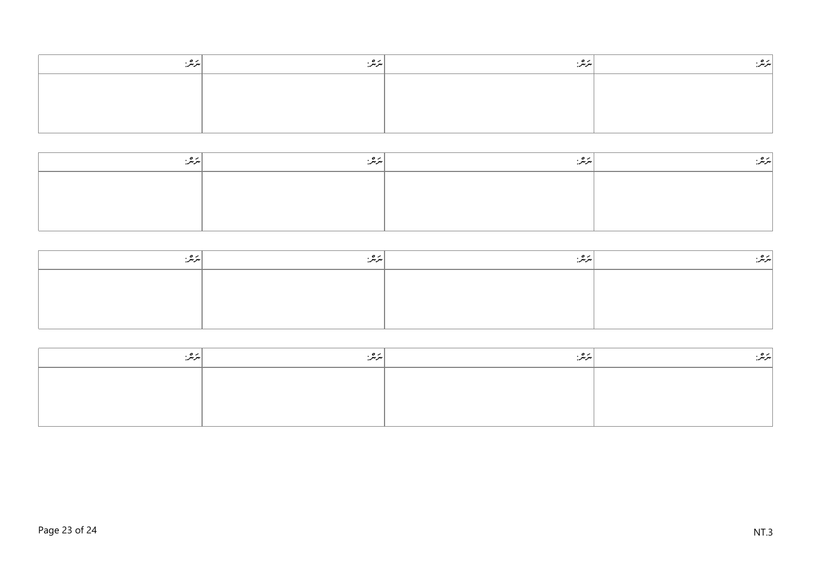| ير هو . | $\overline{\phantom{a}}$ | يرمر | اير هنه. |
|---------|--------------------------|------|----------|
|         |                          |      |          |
|         |                          |      |          |
|         |                          |      |          |

| ىر تىر: | $\circ$ $\sim$<br>" سرسر . | يبرحه | o . |
|---------|----------------------------|-------|-----|
|         |                            |       |     |
|         |                            |       |     |
|         |                            |       |     |

| انترنثر: | ر ه |  |
|----------|-----|--|
|          |     |  |
|          |     |  |
|          |     |  |

|  | . ه |
|--|-----|
|  |     |
|  |     |
|  |     |